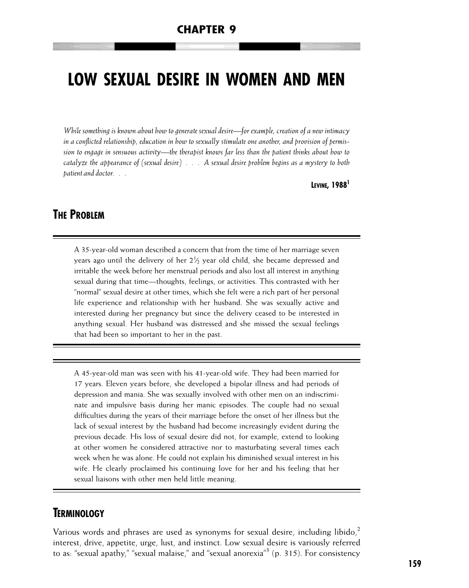# **Low Sexual Desire In Women And Men**

*While something is known about how to generate sexual desire—for example, creation of a new intimacy in a conflicted relationship, education in how to sexually stimulate one another, and provision of permission to engage in sensuous activity—the therapist knows far less than the patient thinks about how to catalyze the appearance of (sexual desire) . . . A sexual desire problem begins as a mystery to both patient and doctor. . .*

**LEVINE, 1988<sup>1</sup>** 

## **The Problem**

A 35-year-old woman described a concern that from the time of her marriage seven years ago until the delivery of her 2<sup>1</sup>/<sub>2</sub> year old child, she became depressed and irritable the week before her menstrual periods and also lost all interest in anything sexual during that time—thoughts, feelings, or activities. This contrasted with her "normal" sexual desire at other times, which she felt were a rich part of her personal life experience and relationship with her husband. She was sexually active and interested during her pregnancy but since the delivery ceased to be interested in anything sexual. Her husband was distressed and she missed the sexual feelings that had been so important to her in the past.

A 45-year-old man was seen with his 41-year-old wife. They had been married for 17 years. Eleven years before, she developed a bipolar illness and had periods of depression and mania. She was sexually involved with other men on an indiscriminate and impulsive basis during her manic episodes. The couple had no sexual difficulties during the years of their marriage before the onset of her illness but the lack of sexual interest by the husband had become increasingly evident during the previous decade. His loss of sexual desire did not, for example, extend to looking at other women he considered attractive nor to masturbating several times each week when he was alone. He could not explain his diminished sexual interest in his wife. He clearly proclaimed his continuing love for her and his feeling that her sexual liaisons with other men held little meaning.

## **Terminology**

Various words and phrases are used as synonyms for sexual desire, including libido, $2$ interest, drive, appetite, urge, lust, and instinct. Low sexual desire is variously referred to as: "sexual apathy," "sexual malaise," and "sexual anorexia"<sup>3</sup> (p. 315). For consistency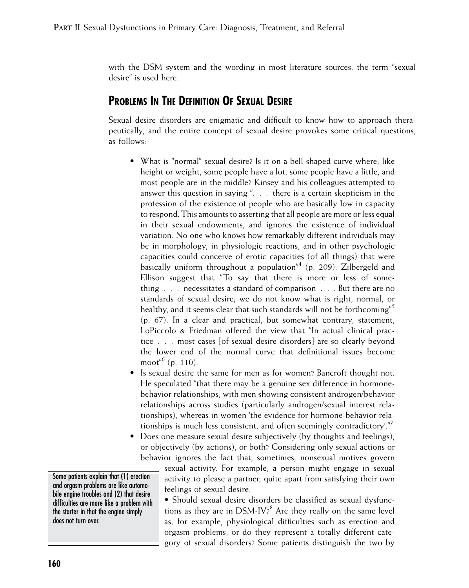with the DSM system and the wording in most literature sources, the term "sexual desire" is used here.

## **Problems In The Definition Of Sexual Desire**

Sexual desire disorders are enigmatic and difficult to know how to approach therapeutically, and the entire concept of sexual desire provokes some critical questions, as follows:

- What is "normal" sexual desire? Is it on a bell-shaped curve where, like height or weight, some people have a lot, some people have a little, and most people are in the middle? Kinsey and his colleagues attempted to answer this question in saying ". . . there is a certain skepticism in the profession of the existence of people who are basically low in capacity to respond. This amounts to asserting that all people are more or less equal in their sexual endowments, and ignores the existence of individual variation. No one who knows how remarkably different individuals may be in morphology, in physiologic reactions, and in other psychologic capacities could conceive of erotic capacities (of all things) that were basically uniform throughout a population<sup>"4</sup> (p. 209). Zilbergeld and Ellison suggest that "To say that there is more or less of something . . . necessitates a standard of comparison . . . But there are no standards of sexual desire; we do not know what is right, normal, or healthy, and it seems clear that such standards will not be forthcoming<sup>"5</sup> (p. 67). In a clear and practical, but somewhat contrary, statement, LoPiccolo & Friedman offered the view that "In actual clinical practice . . . most cases [of sexual desire disorders] are so clearly beyond the lower end of the normal curve that definitional issues become moot<sup>"6</sup> (p. 110).
- Is sexual desire the same for men as for women? Bancroft thought not. He speculated "that there may be a genuine sex difference in hormonebehavior relationships, with men showing consistent androgen/behavior relationships across studies (particularly androgen/sexual interest relationships), whereas in women 'the evidence for hormone-behavior relationships is much less consistent, and often seemingly contradictory'."
- Does one measure sexual desire subjectively (by thoughts and feelings), or objectively (by actions), or both? Considering only sexual actions or behavior ignores the fact that, sometimes, nonsexual motives govern

Some patients explain that (1) erection and orgasm problems are like automobile engine troubles and (2) that desire difficulties are more like a problem with the starter in that the engine simply does not turn over.

sexual activity. For example, a person might engage in sexual activity to please a partner, quite apart from satisfying their own feelings of sexual desire.

• Should sexual desire disorders be classified as sexual dysfunctions as they are in  $DSM-IV$ <sup>8</sup> Are they really on the same level as, for example, physiological difficulties such as erection and orgasm problems, or do they represent a totally different category of sexual disorders? Some patients distinguish the two by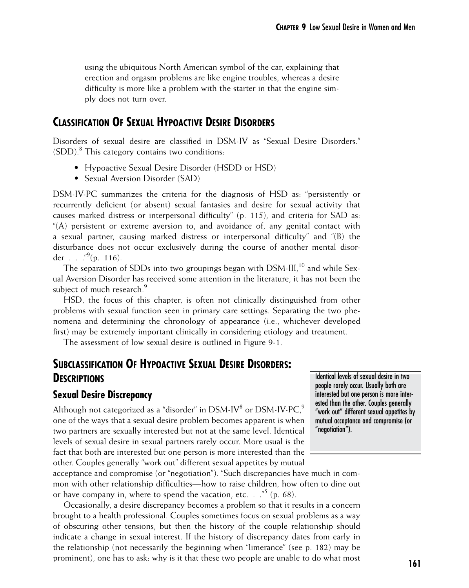using the ubiquitous North American symbol of the car, explaining that erection and orgasm problems are like engine troubles, whereas a desire difficulty is more like a problem with the starter in that the engine simply does not turn over.

## **Classification Of Sexual Hypoactive Desire Disorders**

Disorders of sexual desire are classified in DSM-IV as "Sexual Desire Disorders." (SDD).<sup>8</sup> This category contains two conditions:

- Hypoactive Sexual Desire Disorder (HSDD or HSD)
- Sexual Aversion Disorder (SAD)

DSM-IV-PC summarizes the criteria for the diagnosis of HSD as: "persistently or recurrently deficient (or absent) sexual fantasies and desire for sexual activity that causes marked distress or interpersonal difficulty" (p. 115), and criteria for SAD as:  $^{\prime\prime}$ (A) persistent or extreme aversion to, and avoidance of, any genital contact with a sexual partner, causing marked distress or interpersonal difficulty" and "(B) the disturbance does not occur exclusively during the course of another mental disorder . .  $.^{''9}$ (p. 116).

The separation of SDDs into two groupings began with DSM-III,<sup>10</sup> and while Sexual Aversion Disorder has received some attention in the literature, it has not been the subject of much research.<sup>9</sup>

HSD, the focus of this chapter, is often not clinically distinguished from other problems with sexual function seen in primary care settings. Separating the two phenomena and determining the chronology of appearance (i.e., whichever developed first) may be extremely important clinically in considering etiology and treatment.

The assessment of low sexual desire is outlined in Figure 9-1.

## **Subclassification Of Hypoactive Sexual Desire Disorders: Descriptions**

## **Sexual Desire Discrepancy**

Although not categorized as a "disorder" in DSM-IV<sup>8</sup> or DSM-IV-PC,<sup>9</sup> one of the ways that a sexual desire problem becomes apparent is when two partners are sexually interested but not at the same level. Identical levels of sexual desire in sexual partners rarely occur. More usual is the fact that both are interested but one person is more interested than the other. Couples generally "work out" different sexual appetites by mutual

acceptance and compromise (or "negotiation"). "Such discrepancies have much in common with other relationship difficulties—how to raise children, how often to dine out or have company in, where to spend the vacation, etc.  $\cdot$  ."<sup>5</sup> (p. 68).

Occasionally, a desire discrepancy becomes a problem so that it results in a concern brought to a health professional. Couples sometimes focus on sexual problems as a way of obscuring other tensions, but then the history of the couple relationship should indicate a change in sexual interest. If the history of discrepancy dates from early in the relationship (not necessarily the beginning when "limerance" (see p. 182) may be prominent), one has to ask: why is it that these two people are unable to do what most

Identical levels of sexual desire in two people rarely occur. Usually both are interested but one person is more interested than the other. Couples generally "work out" different sexual appetites by mutual acceptance and compromise (or "negotiation").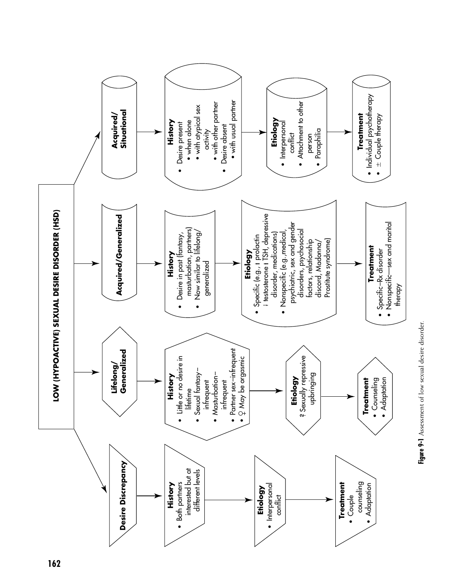

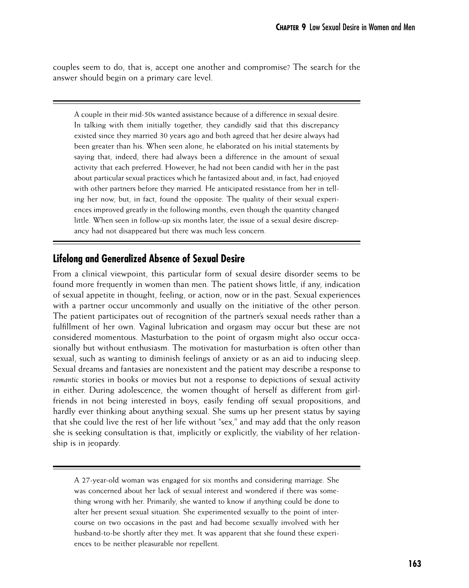couples seem to do, that is, accept one another and compromise? The search for the answer should begin on a primary care level.

A couple in their mid-50s wanted assistance because of a difference in sexual desire. In talking with them initially together, they candidly said that this discrepancy existed since they married 30 years ago and both agreed that her desire always had been greater than his. When seen alone, he elaborated on his initial statements by saying that, indeed, there had always been a difference in the amount of sexual activity that each preferred. However, he had not been candid with her in the past about particular sexual practices which he fantasized about and, in fact, had enjoyed with other partners before they married. He anticipated resistance from her in telling her now, but, in fact, found the opposite. The quality of their sexual experiences improved greatly in the following months, even though the quantity changed little. When seen in follow-up six months later, the issue of a sexual desire discrepancy had not disappeared but there was much less concern.

## **Lifelong and Generalized Absence of Sexual Desire**

From a clinical viewpoint, this particular form of sexual desire disorder seems to be found more frequently in women than men. The patient shows little, if any, indication of sexual appetite in thought, feeling, or action, now or in the past. Sexual experiences with a partner occur uncommonly and usually on the initiative of the other person. The patient participates out of recognition of the partner's sexual needs rather than a fulfillment of her own. Vaginal lubrication and orgasm may occur but these are not considered momentous. Masturbation to the point of orgasm might also occur occasionally but without enthusiasm. The motivation for masturbation is often other than sexual, such as wanting to diminish feelings of anxiety or as an aid to inducing sleep. Sexual dreams and fantasies are nonexistent and the patient may describe a response to *romantic* stories in books or movies but not a response to depictions of sexual activity in either. During adolescence, the women thought of herself as different from girlfriends in not being interested in boys, easily fending off sexual propositions, and hardly ever thinking about anything sexual. She sums up her present status by saying that she could live the rest of her life without "sex," and may add that the only reason she is seeking consultation is that, implicitly or explicitly, the viability of her relationship is in jeopardy.

A 27-year-old woman was engaged for six months and considering marriage. She was concerned about her lack of sexual interest and wondered if there was something wrong with her. Primarily, she wanted to know if anything could be done to alter her present sexual situation. She experimented sexually to the point of intercourse on two occasions in the past and had become sexually involved with her husband-to-be shortly after they met. It was apparent that she found these experiences to be neither pleasurable nor repellent.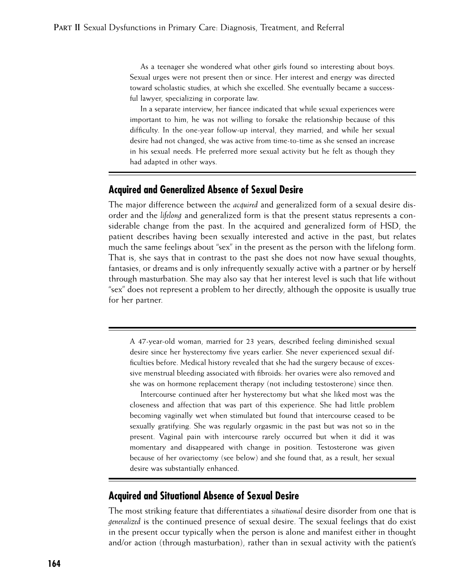As a teenager she wondered what other girls found so interesting about boys. Sexual urges were not present then or since. Her interest and energy was directed toward scholastic studies, at which she excelled. She eventually became a successful lawyer, specializing in corporate law.

 In a separate interview, her fiancee indicated that while sexual experiences were important to him, he was not willing to forsake the relationship because of this difficulty. In the one-year follow-up interval, they married, and while her sexual desire had not changed, she was active from time-to-time as she sensed an increase in his sexual needs. He preferred more sexual activity but he felt as though they had adapted in other ways.

## **Acquired and Generalized Absence of Sexual Desire**

The major difference between the *acquired* and generalized form of a sexual desire disorder and the *lifelong* and generalized form is that the present status represents a considerable change from the past. In the acquired and generalized form of HSD, the patient describes having been sexually interested and active in the past, but relates much the same feelings about "sex" in the present as the person with the lifelong form. That is, she says that in contrast to the past she does not now have sexual thoughts, fantasies, or dreams and is only infrequently sexually active with a partner or by herself through masturbation. She may also say that her interest level is such that life without "sex" does not represent a problem to her directly, although the opposite is usually true for her partner.

A 47-year-old woman, married for 23 years, described feeling diminished sexual desire since her hysterectomy five years earlier. She never experienced sexual difficulties before. Medical history revealed that she had the surgery because of excessive menstrual bleeding associated with fibroids: her ovaries were also removed and she was on hormone replacement therapy (not including testosterone) since then.

 Intercourse continued after her hysterectomy but what she liked most was the closeness and affection that was part of this experience. She had little problem becoming vaginally wet when stimulated but found that intercourse ceased to be sexually gratifying. She was regularly orgasmic in the past but was not so in the present. Vaginal pain with intercourse rarely occurred but when it did it was momentary and disappeared with change in position. Testosterone was given because of her ovariectomy (see below) and she found that, as a result, her sexual desire was substantially enhanced.

## **Acquired and Situational Absence of Sexual Desire**

The most striking feature that differentiates a *situational* desire disorder from one that is *generalized* is the continued presence of sexual desire. The sexual feelings that do exist in the present occur typically when the person is alone and manifest either in thought and/or action (through masturbation), rather than in sexual activity with the patient's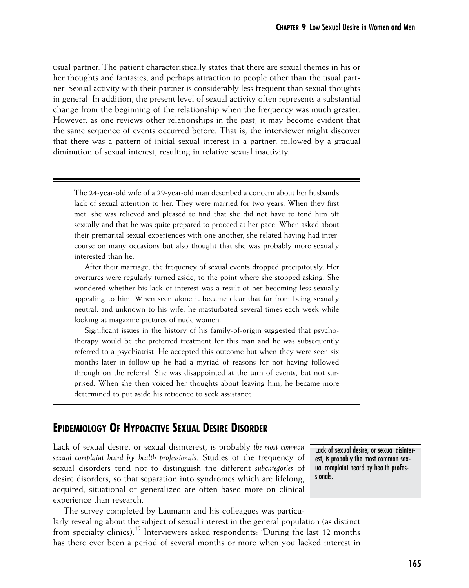usual partner. The patient characteristically states that there are sexual themes in his or her thoughts and fantasies, and perhaps attraction to people other than the usual partner. Sexual activity with their partner is considerably less frequent than sexual thoughts in general. In addition, the present level of sexual activity often represents a substantial change from the beginning of the relationship when the frequency was much greater. However, as one reviews other relationships in the past, it may become evident that the same sequence of events occurred before. That is, the interviewer might discover that there was a pattern of initial sexual interest in a partner, followed by a gradual diminution of sexual interest, resulting in relative sexual inactivity.

The 24-year-old wife of a 29-year-old man described a concern about her husband's lack of sexual attention to her. They were married for two years. When they first met, she was relieved and pleased to find that she did not have to fend him off sexually and that he was quite prepared to proceed at her pace. When asked about their premarital sexual experiences with one another, she related having had intercourse on many occasions but also thought that she was probably more sexually interested than he.

After their marriage, the frequency of sexual events dropped precipitously. Her overtures were regularly turned aside, to the point where she stopped asking. She wondered whether his lack of interest was a result of her becoming less sexually appealing to him. When seen alone it became clear that far from being sexually neutral, and unknown to his wife, he masturbated several times each week while looking at magazine pictures of nude women.

Significant issues in the history of his family-of-origin suggested that psychotherapy would be the preferred treatment for this man and he was subsequently referred to a psychiatrist. He accepted this outcome but when they were seen six months later in follow-up he had a myriad of reasons for not having followed through on the referral. She was disappointed at the turn of events, but not surprised. When she then voiced her thoughts about leaving him, he became more determined to put aside his reticence to seek assistance.

## **Epidemiology Of Hypoactive Sexual Desire Disorder**

Lack of sexual desire, or sexual disinterest, is probably *the most common sexual complaint heard by health professionals*. Studies of the frequency of sexual disorders tend not to distinguish the different *subcategories* of desire disorders, so that separation into syndromes which are lifelong, acquired, situational or generalized are often based more on clinical experience than research.

Lack of sexual desire, or sexual disinterest, is probably the most common sexual complaint heard by health professionals.

The survey completed by Laumann and his colleagues was particularly revealing about the subject of sexual interest in the general population (as distinct from specialty clinics).<sup>12</sup> Interviewers asked respondents: "During the last 12 months has there ever been a period of several months or more when you lacked interest in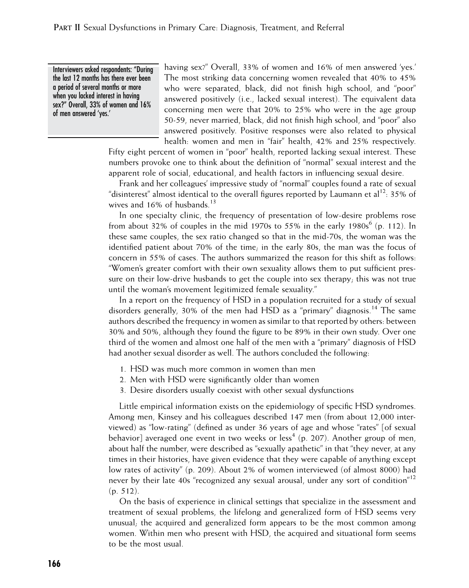Interviewers asked respondents: "During the last 12 months has there ever been a period of several months or more when you lacked interest in having sex?" Overall, 33% of women and 16% of men answered 'yes.'

having sex?" Overall, 33% of women and 16% of men answered 'yes.' The most striking data concerning women revealed that 40% to 45% who were separated, black, did not finish high school, and "poor" answered positively (i.e., lacked sexual interest). The equivalent data concerning men were that 20% to 25% who were in the age group 50-59, never married, black, did not finish high school, and "poor" also answered positively. Positive responses were also related to physical health: women and men in "fair" health, 42% and 25% respectively.

Fifty eight percent of women in "poor" health, reported lacking sexual interest. These numbers provoke one to think about the definition of "normal" sexual interest and the apparent role of social, educational, and health factors in influencing sexual desire.

Frank and her colleagues' impressive study of "normal" couples found a rate of sexual "disinterest" almost identical to the overall figures reported by Laumann et al<sup>12</sup>: 35% of wives and  $16\%$  of husbands.<sup>13</sup>

 In one specialty clinic, the frequency of presentation of low-desire problems rose from about 32% of couples in the mid 1970s to 55% in the early 1980s<sup>6</sup> (p. 112). In these same couples, the sex ratio changed so that in the mid-70s, the woman was the identified patient about 70% of the time; in the early 80s, the man was the focus of concern in 55% of cases. The authors summarized the reason for this shift as follows: "Women's greater comfort with their own sexuality allows them to put sufficient pressure on their low-drive husbands to get the couple into sex therapy; this was not true until the woman's movement legitimized female sexuality."

 In a report on the frequency of HSD in a population recruited for a study of sexual disorders generally, 30% of the men had HSD as a "primary" diagnosis.<sup>14</sup> The same authors described the frequency in women as similar to that reported by others: between 30% and 50%, although they found the figure to be 89% in their own study. Over one third of the women and almost one half of the men with a "primary" diagnosis of HSD had another sexual disorder as well. The authors concluded the following:

- 1. HSD was much more common in women than men
- 2. Men with HSD were significantly older than women
- 3. Desire disorders usually coexist with other sexual dysfunctions

Little empirical information exists on the epidemiology of specific HSD syndromes. Among men, Kinsey and his colleagues described 147 men (from about 12,000 interviewed) as "low-rating" (defined as under 36 years of age and whose "rates" [of sexual behavior] averaged one event in two weeks or less<sup>4</sup> (p. 207). Another group of men, about half the number, were described as "sexually apathetic" in that "they never, at any times in their histories, have given evidence that they were capable of anything except low rates of activity" (p. 209). About 2% of women interviewed (of almost 8000) had never by their late 40s "recognized any sexual arousal, under any sort of condition"<sup>12</sup> (p. 512).

 On the basis of experience in clinical settings that specialize in the assessment and treatment of sexual problems, the lifelong and generalized form of HSD seems very unusual; the acquired and generalized form appears to be the most common among women. Within men who present with HSD, the acquired and situational form seems to be the most usual.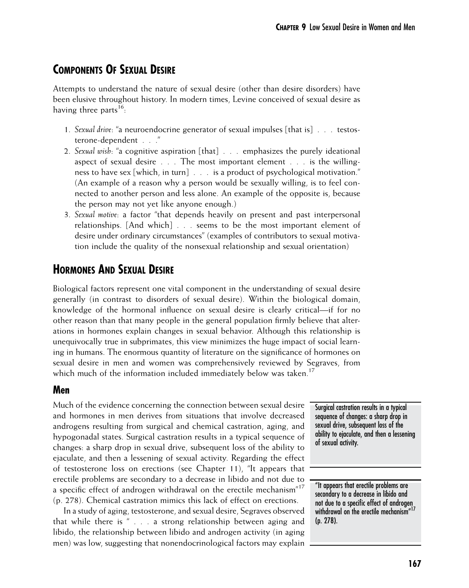## **Components Of Sexual Desire**

Attempts to understand the nature of sexual desire (other than desire disorders) have been elusive throughout history. In modern times, Levine conceived of sexual desire as having three parts<sup>16</sup>:

- 1. *Sexual drive*: "a neuroendocrine generator of sexual impulses [that is] . . . testosterone-dependent . . ."
- 2. *Sexual wish*: "a cognitive aspiration [that] . . . emphasizes the purely ideational aspect of sexual desire . . . The most important element . . . is the willingness to have sex [which, in turn] . . . is a product of psychological motivation." (An example of a reason why a person would be sexually willing, is to feel connected to another person and less alone. An example of the opposite is, because the person may not yet like anyone enough.)
- 3. *Sexual motive*: a factor "that depends heavily on present and past interpersonal relationships. [And which] . . . seems to be the most important element of desire under ordinary circumstances" (examples of contributors to sexual motivation include the quality of the nonsexual relationship and sexual orientation)

## **Hormones And Sexual Desire**

Biological factors represent one vital component in the understanding of sexual desire generally (in contrast to disorders of sexual desire). Within the biological domain, knowledge of the hormonal influence on sexual desire is clearly critical—if for no other reason than that many people in the general population firmly believe that alterations in hormones explain changes in sexual behavior. Although this relationship is unequivocally true in subprimates, this view minimizes the huge impact of social learning in humans. The enormous quantity of literature on the significance of hormones on sexual desire in men and women was comprehensively reviewed by Segraves, from which much of the information included immediately below was taken.<sup>17</sup>

### **Men**

Much of the evidence concerning the connection between sexual desire and hormones in men derives from situations that involve decreased androgens resulting from surgical and chemical castration, aging, and hypogonadal states. Surgical castration results in a typical sequence of changes: a sharp drop in sexual drive, subsequent loss of the ability to ejaculate, and then a lessening of sexual activity. Regarding the effect of testosterone loss on erections (see Chapter 11), "It appears that erectile problems are secondary to a decrease in libido and not due to a specific effect of androgen withdrawal on the erectile mechanism"<sup>17</sup> (p. 278). Chemical castration mimics this lack of effect on erections.

In a study of aging, testosterone, and sexual desire, Segraves observed that while there is " . . . a strong relationship between aging and libido, the relationship between libido and androgen activity (in aging men) was low, suggesting that nonendocrinological factors may explain Surgical castration results in a typical sequence of changes: a sharp drop in sexual drive, subsequent loss of the ability to ejaculate, and then a lessening of sexual activity.

"It appears that erectile problems are secondary to a decrease in libido and not due to a specific effect of androgen withdrawal on the erectile mechanism"<sup>17</sup> (p. 278).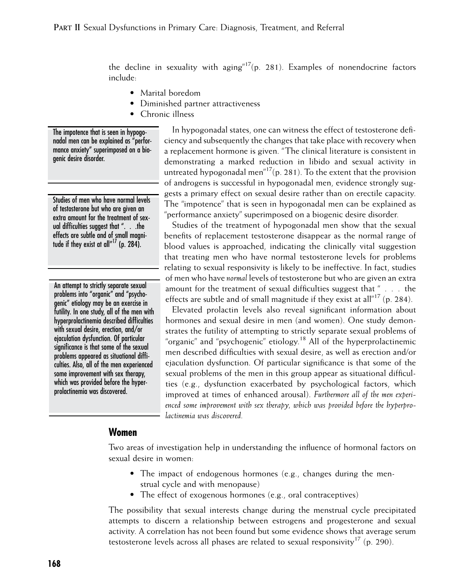the decline in sexuality with aging"<sup>17</sup>(p. 281). Examples of nonendocrine factors include:

- Marital boredom
- Diminished partner attractiveness
- Chronic illness

The impotence that is seen in hypogonadal men can be explained as "performance anxiety" superimposed on a biogenic desire disorder.

Studies of men who have normal levels of testosterone but who are given an extra amount for the treatment of sexual difficulties suggest that ". . .the effects are subtle and of small magnitude if they exist at all $^{\prime\prime}$  (p. 284).

An attempt to strictly separate sexual problems into "organic" and "psychogenic" etiology may be an exercise in futility. In one study, all of the men with hyperprolactinemia described difficulties with sexual desire, erection, and/or ejaculation dysfunction. Of particular significance is that some of the sexual problems appeared as situational difficulties. Also, all of the men experienced some improvement with sex therapy, which was provided before the hyperprolactinemia was discovered.

 In hypogonadal states, one can witness the effect of testosterone deficiency and subsequently the changes that take place with recovery when a replacement hormone is given. "The clinical literature is consistent in demonstrating a marked reduction in libido and sexual activity in untreated hypogonadal men<sup>"17</sup>(p. 281). To the extent that the provision of androgens is successful in hypogonadal men, evidence strongly suggests a primary effect on sexual desire rather than on erectile capacity. The "impotence" that is seen in hypogonadal men can be explained as "performance anxiety" superimposed on a biogenic desire disorder.

Studies of the treatment of hypogonadal men show that the sexual benefits of replacement testosterone disappear as the normal range of blood values is approached, indicating the clinically vital suggestion that treating men who have normal testosterone levels for problems relating to sexual responsivity is likely to be ineffective. In fact, studies of men who have *normal* levels of testosterone but who are given an extra amount for the treatment of sexual difficulties suggest that " . . . the effects are subtle and of small magnitude if they exist at all<sup>n17</sup> (p. 284).

Elevated prolactin levels also reveal significant information about hormones and sexual desire in men (and women). One study demonstrates the futility of attempting to strictly separate sexual problems of "organic" and "psychogenic" etiology.18 All of the hyperprolactinemic men described difficulties with sexual desire, as well as erection and/or ejaculation dysfunction. Of particular significance is that some of the sexual problems of the men in this group appear as situational difficulties (e.g., dysfunction exacerbated by psychological factors, which improved at times of enhanced arousal). *Furthermore all of the men experienced some improvement with sex therapy, which was provided before the hyperprolactinemia was discovered.*

### **Women**

Two areas of investigation help in understanding the influence of hormonal factors on sexual desire in women:

- The impact of endogenous hormones (e.g., changes during the menstrual cycle and with menopause)
- The effect of exogenous hormones (e.g., oral contraceptives)

The possibility that sexual interests change during the menstrual cycle precipitated attempts to discern a relationship between estrogens and progesterone and sexual activity. A correlation has not been found but some evidence shows that average serum testosterone levels across all phases are related to sexual responsivity<sup>17</sup> (p. 290).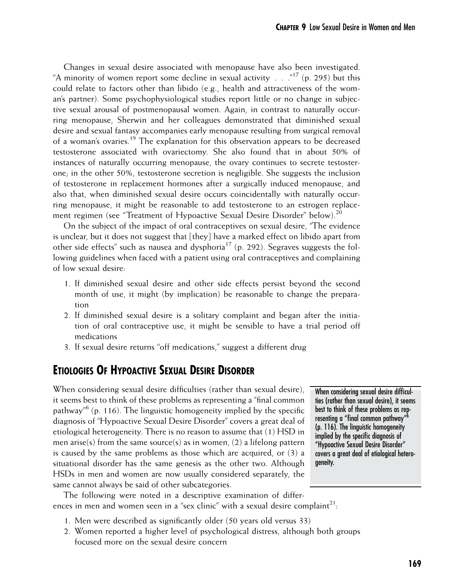Changes in sexual desire associated with menopause have also been investigated. "A minority of women report some decline in sexual activity . . . "<sup>17</sup> (p. 295) but this could relate to factors other than libido (e.g., health and attractiveness of the woman's partner). Some psychophysiological studies report little or no change in subjective sexual arousal of postmenopausal women. Again, in contrast to naturally occurring menopause, Sherwin and her colleagues demonstrated that diminished sexual desire and sexual fantasy accompanies early menopause resulting from surgical removal of a woman's ovaries.<sup>19</sup> The explanation for this observation appears to be decreased testosterone associated with ovariectomy. She also found that in about 50% of instances of naturally occurring menopause, the ovary continues to secrete testosterone; in the other 50%, testosterone secretion is negligible. She suggests the inclusion of testosterone in replacement hormones after a surgically induced menopause, and also that, when diminished sexual desire occurs coincidentally with naturally occurring menopause, it might be reasonable to add testosterone to an estrogen replacement regimen (see "Treatment of Hypoactive Sexual Desire Disorder" below).<sup>20</sup>

 On the subject of the impact of oral contraceptives on sexual desire, "The evidence is unclear, but it does not suggest that [they] have a marked effect on libido apart from other side effects" such as nausea and dysphoria<sup>17</sup> (p. 292). Segraves suggests the following guidelines when faced with a patient using oral contraceptives and complaining of low sexual desire:

- 1. If diminished sexual desire and other side effects persist beyond the second month of use, it might (by implication) be reasonable to change the preparation
- 2. If diminished sexual desire is a solitary complaint and began after the initiation of oral contraceptive use, it might be sensible to have a trial period off medications
- 3. If sexual desire returns "off medications," suggest a different drug

## **Etiologies Of Hypoactive Sexual Desire Disorder**

When considering sexual desire difficulties (rather than sexual desire), it seems best to think of these problems as representing a "final common pathway"<sup>6</sup> (p. 116). The linguistic homogeneity implied by the specific diagnosis of "Hypoactive Sexual Desire Disorder" covers a great deal of etiological heterogeneity. There is no reason to assume that (1) HSD in men arise(s) from the same source(s) as in women,  $(2)$  a lifelong pattern is caused by the same problems as those which are acquired, or (3) a situational disorder has the same genesis as the other two. Although HSDs in men and women are now usually considered separately, the same cannot always be said of other subcategories.

When considering sexual desire difficulties (rather than sexual desire), it seems best to think of these problems as representing a "final common pathway"6 (p. 116). The linguistic homogeneity implied by the specific diagnosis of "Hypoactive Sexual Desire Disorder" covers a great deal of etiological heterogeneity.

The following were noted in a descriptive examination of differences in men and women seen in a "sex clinic" with a sexual desire complaint<sup>21</sup>:

- 1. Men were described as significantly older (50 years old versus 33)
- 2. Women reported a higher level of psychological distress, although both groups focused more on the sexual desire concern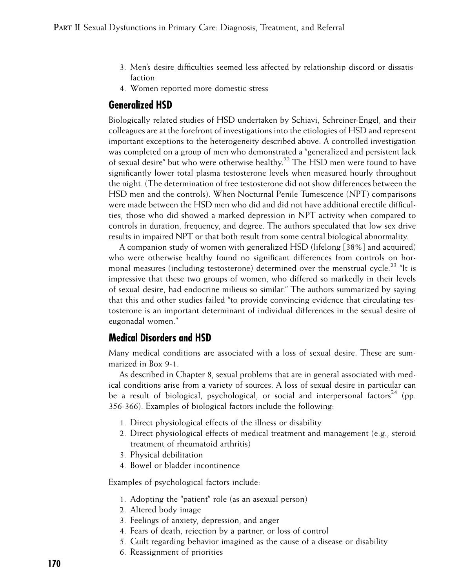- 3. Men's desire difficulties seemed less affected by relationship discord or dissatisfaction
- 4. Women reported more domestic stress

## **Generalized HSD**

Biologically related studies of HSD undertaken by Schiavi, Schreiner-Engel, and their colleagues are at the forefront of investigations into the etiologies of HSD and represent important exceptions to the heterogeneity described above. A controlled investigation was completed on a group of men who demonstrated a "generalized and persistent lack of sexual desire" but who were otherwise healthy.<sup>22</sup> The HSD men were found to have significantly lower total plasma testosterone levels when measured hourly throughout the night. (The determination of free testosterone did not show differences between the HSD men and the controls). When Nocturnal Penile Tumescence (NPT) comparisons were made between the HSD men who did and did not have additional erectile difficulties, those who did showed a marked depression in NPT activity when compared to controls in duration, frequency, and degree. The authors speculated that low sex drive results in impaired NPT or that both result from some central biological abnormality.

 A companion study of women with generalized HSD (lifelong [38%] and acquired) who were otherwise healthy found no significant differences from controls on hormonal measures (including testosterone) determined over the menstrual cycle.<sup>23</sup> "It is impressive that these two groups of women, who differed so markedly in their levels of sexual desire, had endocrine milieus so similar." The authors summarized by saying that this and other studies failed "to provide convincing evidence that circulating testosterone is an important determinant of individual differences in the sexual desire of eugonadal women."

### **Medical Disorders and HSD**

Many medical conditions are associated with a loss of sexual desire. These are summarized in Box 9-1.

As described in Chapter 8, sexual problems that are in general associated with medical conditions arise from a variety of sources. A loss of sexual desire in particular can be a result of biological, psychological, or social and interpersonal factors<sup>24</sup> (pp. 356-366). Examples of biological factors include the following:

- 1. Direct physiological effects of the illness or disability
- 2. Direct physiological effects of medical treatment and management (e.g., steroid treatment of rheumatoid arthritis)
- 3. Physical debilitation
- 4. Bowel or bladder incontinence

Examples of psychological factors include:

- 1. Adopting the "patient" role (as an asexual person)
- 2. Altered body image
- 3. Feelings of anxiety, depression, and anger
- 4. Fears of death, rejection by a partner, or loss of control
- 5. Guilt regarding behavior imagined as the cause of a disease or disability
- 6. Reassignment of priorities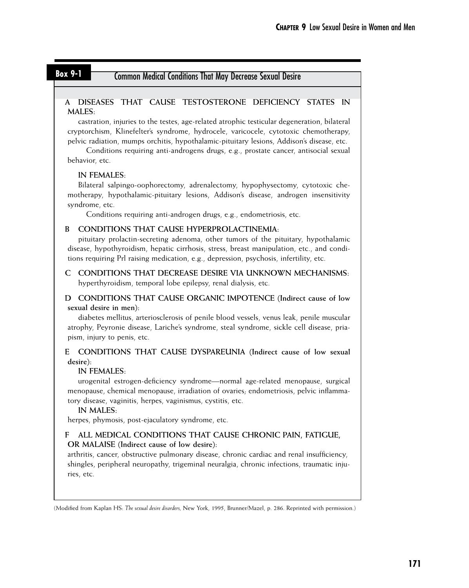#### **Box 9-1**

### Common Medical Conditions That May Decrease Sexual Desire

#### **A DISEASES THAT CAUSE TESTOSTERONE DEFICIENCY STATES IN MALES:**

castration, injuries to the testes, age-related atrophic testicular degeneration, bilateral cryptorchism, Klinefelter's syndrome, hydrocele, varicocele, cytotoxic chemotherapy, pelvic radiation, mumps orchitis, hypothalamic-pituitary lesions, Addison's disease, etc.

 Conditions requiring anti-androgens drugs, e.g., prostate cancer, antisocial sexual behavior, etc.

#### **IN FEMALES:**

 Bilateral salpingo-oophorectomy, adrenalectomy, hypophysectomy, cytotoxic chemotherapy, hypothalamic-pituitary lesions, Addison's disease, androgen insensitivity syndrome, etc.

Conditions requiring anti-androgen drugs, e.g., endometriosis, etc.

#### **B CONDITIONS THAT CAUSE HYPERPROLACTINEMIA:**

 pituitary prolactin-secreting adenoma, other tumors of the pituitary, hypothalamic disease, hypothyroidism, hepatic cirrhosis, stress, breast manipulation, etc., and conditions requiring Prl raising medication, e.g., depression, psychosis, infertility, etc.

#### **C CONDITIONS THAT DECREASE DESIRE VIA UNKNOWN MECHANISMS:** hyperthyroidism, temporal lobe epilepsy, renal dialysis, etc.

#### **D CONDITIONS THAT CAUSE ORGANIC IMPOTENCE (Indirect cause of low sexual desire in men):**

 diabetes mellitus, arteriosclerosis of penile blood vessels, venus leak, penile muscular atrophy, Peyronie disease, Lariche's syndrome, steal syndrome, sickle cell disease, priapism, injury to penis, etc.

#### **E CONDITIONS THAT CAUSE DYSPAREUNIA (Indirect cause of low sexual desire):**

#### **IN FEMALES:**

 urogenital estrogen-deficiency syndrome—normal age-related menopause, surgical menopause, chemical menopause, irradiation of ovaries; endometriosis, pelvic inflammatory disease, vaginitis, herpes, vaginismus, cystitis, etc.

#### **IN MALES:**

herpes, phymosis, post-ejaculatory syndrome, etc.

#### **F ALL MEDICAL CONDITIONS THAT CAUSE CHRONIC PAIN, FATIGUE, OR MALAISE (Indirect cause of low desire):**

arthritis, cancer, obstructive pulmonary disease, chronic cardiac and renal insufficiency, shingles, peripheral neuropathy, trigeminal neuralgia, chronic infections, traumatic injuries, etc.

(Modified from Kaplan HS: *The sexual desire disorders,* New York, 1995, Brunner/Mazel, p. 286. Reprinted with permission.)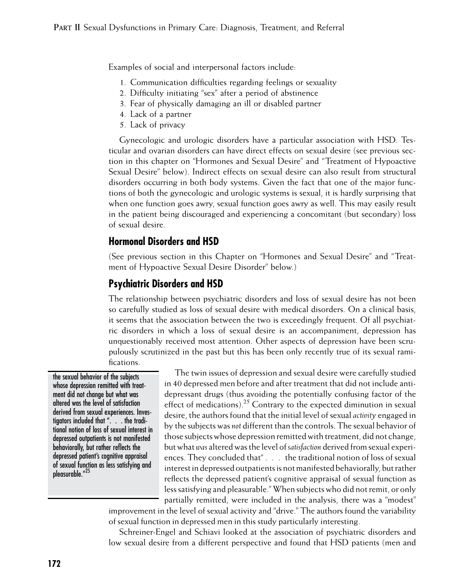Examples of social and interpersonal factors include:

- 1. Communication difficulties regarding feelings or sexuality
- 2. Difficulty initiating "sex" after a period of abstinence
- 3. Fear of physically damaging an ill or disabled partner
- 4. Lack of a partner
- 5. Lack of privacy

Gynecologic and urologic disorders have a particular association with HSD. Testicular and ovarian disorders can have direct effects on sexual desire (see previous section in this chapter on "Hormones and Sexual Desire" and "Treatment of Hypoactive Sexual Desire" below). Indirect effects on sexual desire can also result from structural disorders occurring in both body systems. Given the fact that one of the major functions of both the gynecologic and urologic systems is sexual, it is hardly surprising that when one function goes awry, sexual function goes awry as well. This may easily result in the patient being discouraged and experiencing a concomitant (but secondary) loss of sexual desire.

## **Hormonal Disorders and HSD**

(See previous section in this Chapter on "Hormones and Sexual Desire" and "Treatment of Hypoactive Sexual Desire Disorder" below.)

## **Psychiatric Disorders and HSD**

The relationship between psychiatric disorders and loss of sexual desire has not been so carefully studied as loss of sexual desire with medical disorders. On a clinical basis, it seems that the association between the two is exceedingly frequent. Of all psychiatric disorders in which a loss of sexual desire is an accompaniment, depression has unquestionably received most attention. Other aspects of depression have been scrupulously scrutinized in the past but this has been only recently true of its sexual ramifications.

the sexual behavior of the subjects whose depression remitted with treatment did not change but what was altered was the level of satisfaction derived from sexual experiences. Investigators included that ". . . the traditional notion of loss of sexual interest in depressed outpatients is not manifested behaviorally, but rather reflects the depressed patient's cognitive appraisal of sexual function as less satisfying and pleasurable."25

The twin issues of depression and sexual desire were carefully studied in 40 depressed men before and after treatment that did not include antidepressant drugs (thus avoiding the potentially confusing factor of the effect of medications).<sup>25</sup> Contrary to the expected diminution in sexual desire, the authors found that the initial level of sexual *activity* engaged in by the subjects was *not* different than the controls. The sexual behavior of those subjects whose depression remitted with treatment, did not change, but what *was* altered was the level of *satisfaction* derived from sexual experiences. They concluded that" . . . the traditional notion of loss of sexual interest in depressed outpatients is not manifested behaviorally, but rather reflects the depressed patient's cognitive appraisal of sexual function as less satisfying and pleasurable." When subjects who did not remit, or only partially remitted, were included in the analysis, there was a "modest"

improvement in the level of sexual activity and "drive." The authors found the variability of sexual function in depressed men in this study particularly interesting.

Schreiner-Engel and Schiavi looked at the association of psychiatric disorders and low sexual desire from a different perspective and found that HSD patients (men and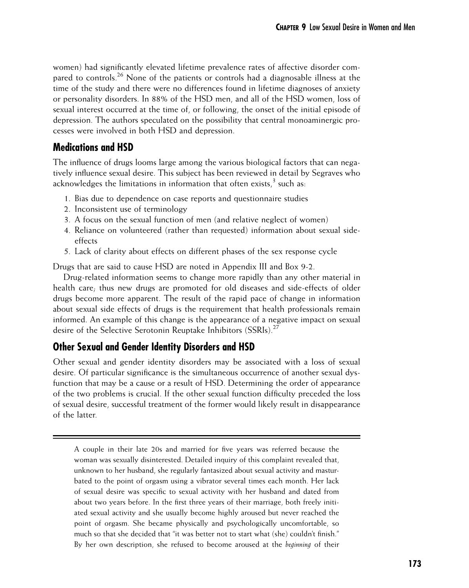women) had significantly elevated lifetime prevalence rates of affective disorder compared to controls.<sup>26</sup> None of the patients or controls had a diagnosable illness at the time of the study and there were no differences found in lifetime diagnoses of anxiety or personality disorders. In 88% of the HSD men, and all of the HSD women, loss of sexual interest occurred at the time of, or following, the onset of the initial episode of depression. The authors speculated on the possibility that central monoaminergic processes were involved in both HSD and depression.

## **Medications and HSD**

The influence of drugs looms large among the various biological factors that can negatively influence sexual desire. This subject has been reviewed in detail by Segraves who acknowledges the limitations in information that often exists, $3$  such as:

- 1. Bias due to dependence on case reports and questionnaire studies
- 2. Inconsistent use of terminology
- 3. A focus on the sexual function of men (and relative neglect of women)
- 4. Reliance on volunteered (rather than requested) information about sexual sideeffects
- 5. Lack of clarity about effects on different phases of the sex response cycle

Drugs that are said to cause HSD are noted in Appendix III and Box 9-2.

Drug-related information seems to change more rapidly than any other material in health care; thus new drugs are promoted for old diseases and side-effects of older drugs become more apparent. The result of the rapid pace of change in information about sexual side effects of drugs is the requirement that health professionals remain informed. An example of this change is the appearance of a negative impact on sexual desire of the Selective Serotonin Reuptake Inhibitors (SSRIs).<sup>27</sup>

## **Other Sexual and Gender Identity Disorders and HSD**

Other sexual and gender identity disorders may be associated with a loss of sexual desire. Of particular significance is the simultaneous occurrence of another sexual dysfunction that may be a cause or a result of HSD. Determining the order of appearance of the two problems is crucial. If the other sexual function difficulty preceded the loss of sexual desire, successful treatment of the former would likely result in disappearance of the latter.

A couple in their late 20s and married for five years was referred because the woman was sexually disinterested. Detailed inquiry of this complaint revealed that, unknown to her husband, she regularly fantasized about sexual activity and masturbated to the point of orgasm using a vibrator several times each month. Her lack of sexual desire was specific to sexual activity with her husband and dated from about two years before. In the first three years of their marriage, both freely initiated sexual activity and she usually become highly aroused but never reached the point of orgasm. She became physically and psychologically uncomfortable, so much so that she decided that "it was better not to start what (she) couldn't finish." By her own description, she refused to become aroused at the *beginning* of their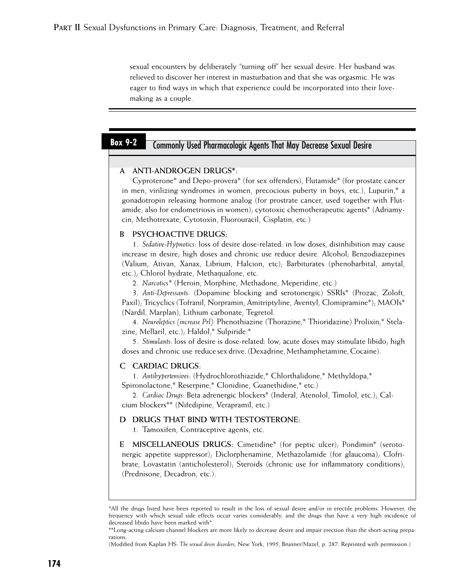sexual encounters by deliberately "turning off" her sexual desire. Her husband was relieved to discover her interest in masturbation and that she was orgasmic. He was eager to find ways in which that experience could be incorporated into their lovemaking as a couple.

#### Commonly Used Pharmacologic Agents That May Decrease Sexual Desire **Box 9-2**

#### **A ANTI-ANDROGEN DRUGS\*:**

 Cyproterone\* and Depo-provera\* (for sex offenders), Flutamide\* (for prostate cancer in men, virilizing syndromes in women, precocious puberty in boys, etc.), Lupurin,\* a gonadotropin releasing hormone analog (for prostrate cancer, used together with Flutamide, also for endometriosis in women); cytotoxic chemotherapeutic agents\* (Adriamycin, Methotrexate, Cytotoxin, Fluorouracil, Cisplatin, etc.)

#### **B PSYCHOACTIVE DRUGS:**

1. *Sedative-Hypnotics:* loss of desire dose-related: in low doses, disinhibition may cause increase in desire; high doses and chronic use reduce desire. Alcohol; Benzodiazepines (Valium, Ativan, Xanax, Librium, Halcion, etc); Barbiturates (phenobarbital, amytal, etc.); Chlorol hydrate, Methaqualone, etc.

2. *Narcotics\** (Heroin, Morphine, Methadone, Meperidine, etc.)

 3. *Anti-Depressants:* (Dopamine blocking and serotonergic) SSRIs\* (Prozac, Zoloft, Paxil); Tricyclics (Tofranil, Norpramin, Amitriptyline, Aventyl, Clomipramine\*); MAOIs\* (Nardil, Marplan), Lithium carbonate, Tegretol.

 4. *Neuroleptics (increase Prl):* Phenothiazine (Thorazine,\* Thioridazine) Prolixin,\* Stelazine, Mellaril, etc.); Haldol,\* Sulpiride.\*

 5. *Stimulants:* loss of desire is dose-related: low, acute doses may stimulate libido; high doses and chronic use reduce sex drive. (Dexadrine, Methamphetamine, Cocaine).

#### **C CARDIAC DRUGS:**

1. *Antihypertensives:* (Hydrochlorothiazide,\* Chlorthalidone,\* Methyldopa,\*

Spironolactone,\* Reserpine,\* Clonidine, Guanethidine,\* etc.)

 2. *Cardiac Drugs:* Beta adrenergic blockers\* (Inderal, Atenolol, Timolol, etc.); Calcium blockers\*\* (Nifedipine, Verapramil, etc.)

#### **D DRUGS THAT BIND WITH TESTOSTERONE:**

1. Tamoxifen, Contraceptive agents, etc.

**E MISCELLANEOUS DRUGS:** Cimetidine\* (for peptic ulcer); Pondimin\* (serotonergic appetite suppressor); Diclorphenamine, Methazolamide (for glaucoma); Clofribrate, Lovastatin (anticholesterol); Steroids (chronic use for inflammatory conditions), (Prednisone, Decadron, etc.).

<sup>\*</sup>All the drugs listed have been reported to result in the loss of sexual desire and/or in erectile problems. However, the frequency with which sexual side effects occur varies considerably, and the drugs that have a very high incidence of decreased libido have been marked with\*.

<sup>\*\*</sup>Long-acting calcium channel blockers are more likely to decrease desire and impair erection than the short-acting preparations.

<sup>(</sup>Modified from Kaplan HS: *The sexual desire disorders,* New York, 1995, Brunner/Mazel, p. 287. Reprinted with permission.)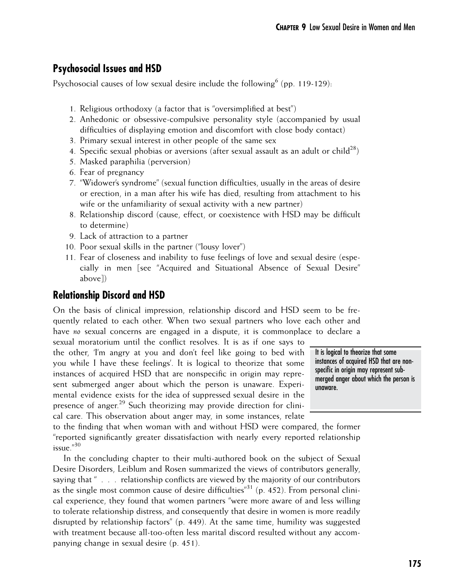## **Psychosocial Issues and HSD**

Psychosocial causes of low sexual desire include the following<sup>6</sup> (pp. 119-129):

- 1. Religious orthodoxy (a factor that is "oversimplified at best")
- 2. Anhedonic or obsessive-compulsive personality style (accompanied by usual difficulties of displaying emotion and discomfort with close body contact)
- 3. Primary sexual interest in other people of the same sex
- 4. Specific sexual phobias or aversions (after sexual assault as an adult or child<sup>28</sup>)
- 5. Masked paraphilia (perversion)
- 6. Fear of pregnancy
- 7. "Widower's syndrome" (sexual function difficulties, usually in the areas of desire or erection, in a man after his wife has died, resulting from attachment to his wife or the unfamiliarity of sexual activity with a new partner)
- 8. Relationship discord (cause, effect, or coexistence with HSD may be difficult to determine)
- 9. Lack of attraction to a partner
- 10. Poor sexual skills in the partner ("lousy lover")
- 11. Fear of closeness and inability to fuse feelings of love and sexual desire (especially in men [see "Acquired and Situational Absence of Sexual Desire" above])

### **Relationship Discord and HSD**

On the basis of clinical impression, relationship discord and HSD seem to be frequently related to each other. When two sexual partners who love each other and have *no* sexual concerns are engaged in a dispute, it is commonplace to declare a

sexual moratorium until the conflict resolves. It is as if one says to the other, 'I'm angry at you and don't feel like going to bed with you while I have these feelings'. It is logical to theorize that some instances of acquired HSD that are nonspecific in origin may represent submerged anger about which the person is unaware. Experimental evidence exists for the idea of suppressed sexual desire in the presence of anger.<sup>29</sup> Such theorizing may provide direction for clinical care. This observation about anger may, in some instances, relate

to the finding that when woman with and without HSD were compared, the former "reported significantly greater dissatisfaction with nearly every reported relationship issue."30

 In the concluding chapter to their multi-authored book on the subject of Sexual Desire Disorders, Leiblum and Rosen summarized the views of contributors generally, saying that " . . . relationship conflicts are viewed by the majority of our contributors as the single most common cause of desire difficulties"<sup>31</sup> (p. 452). From personal clinical experience, they found that women partners "were more aware of and less willing to tolerate relationship distress, and consequently that desire in women is more readily disrupted by relationship factors" (p. 449). At the same time, humility was suggested with treatment because all-too-often less marital discord resulted without any accompanying change in sexual desire (p. 451).

It is logical to theorize that some instances of acquired HSD that are nonspecific in origin may represent submerged anger about which the person is unaware.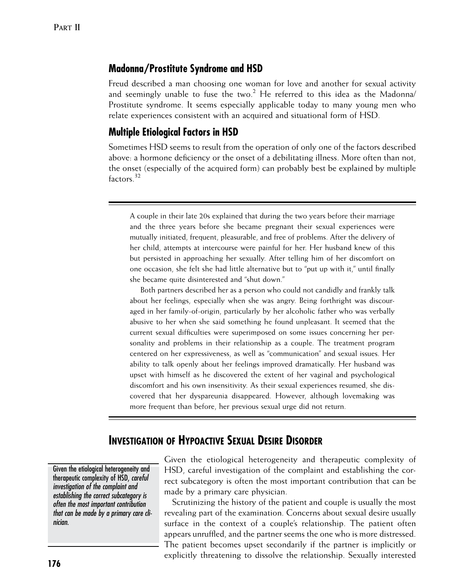### **Madonna/Prostitute Syndrome and HSD**

Freud described a man choosing one woman for love and another for sexual activity and seemingly unable to fuse the two.<sup>2</sup> He referred to this idea as the Madonna/ Prostitute syndrome. It seems especially applicable today to many young men who relate experiences consistent with an acquired and situational form of HSD.

### **Multiple Etiological Factors in HSD**

Sometimes HSD seems to result from the operation of only one of the factors described above: a hormone deficiency or the onset of a debilitating illness. More often than not, the onset (especially of the acquired form) can probably best be explained by multiple factors.32

A couple in their late 20s explained that during the two years before their marriage and the three years before she became pregnant their sexual experiences were mutually initiated, frequent, pleasurable, and free of problems. After the delivery of her child, attempts at intercourse were painful for her. Her husband knew of this but persisted in approaching her sexually. After telling him of her discomfort on one occasion, she felt she had little alternative but to "put up with it," until finally she became quite disinterested and "shut down."

Both partners described her as a person who could not candidly and frankly talk about her feelings, especially when she was angry. Being forthright was discouraged in her family-of-origin, particularly by her alcoholic father who was verbally abusive to her when she said something he found unpleasant. It seemed that the current sexual difficulties were superimposed on some issues concerning her personality and problems in their relationship as a couple. The treatment program centered on her expressiveness, as well as "communication" and sexual issues. Her ability to talk openly about her feelings improved dramatically. Her husband was upset with himself as he discovered the extent of her vaginal and psychological discomfort and his own insensitivity. As their sexual experiences resumed, she discovered that her dyspareunia disappeared. However, although lovemaking was more frequent than before, her previous sexual urge did not return.

## **Investigation of Hypoactive Sexual Desire Disorder**

Given the etiological heterogeneity and therapeutic complexity of HSD, *careful investigation of the complaint and establishing the correct subcategory is often the most important contribution that can be made by a primary care clinician*.

Given the etiological heterogeneity and therapeutic complexity of HSD, careful investigation of the complaint and establishing the correct subcategory is often the most important contribution that can be made by a primary care physician.

 Scrutinizing the history of the patient and couple is usually the most revealing part of the examination. Concerns about sexual desire usually surface in the context of a couple's relationship. The patient often appears unruffled, and the partner seems the one who is more distressed. The patient becomes upset secondarily if the partner is implicitly or explicitly threatening to dissolve the relationship. Sexually interested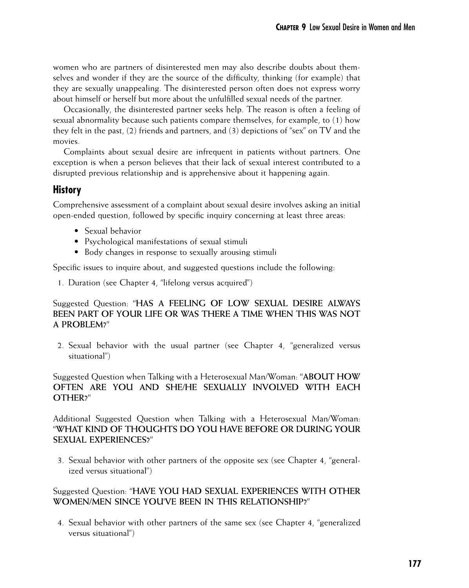women who are partners of disinterested men may also describe doubts about themselves and wonder if they are the source of the difficulty, thinking (for example) that they are sexually unappealing. The disinterested person often does not express worry about himself or herself but more about the unfulfilled sexual needs of the partner.

Occasionally, the disinterested partner seeks help. The reason is often a feeling of sexual abnormality because such patients compare themselves, for example, to (1) how they felt in the past, (2) friends and partners, and (3) depictions of "sex" on TV and the movies.

Complaints about sexual desire are infrequent in patients without partners. One exception is when a person believes that their lack of sexual interest contributed to a disrupted previous relationship and is apprehensive about it happening again.

## **History**

Comprehensive assessment of a complaint about sexual desire involves asking an initial open-ended question, followed by specific inquiry concerning at least three areas:

- Sexual behavior
- Psychological manifestations of sexual stimuli
- Body changes in response to sexually arousing stimuli

Specific issues to inquire about, and suggested questions include the following:

1. Duration (see Chapter 4, "lifelong versus acquired")

### Suggested Question: **"Has a feeling of low sexual desire always been part of your life or was there a time when this was not a problem?"**

2. Sexual behavior with the usual partner (see Chapter 4, "generalized versus situational")

Suggested Question when Talking with a Heterosexual Man/Woman: **"About how often are you and she/he sexually involved with each other?"**

Additional Suggested Question when Talking with a Heterosexual Man/Woman: **"What kind of thoughts do you have before or during your sexual experiences?"**

3. Sexual behavior with other partners of the opposite sex (see Chapter 4, "generalized versus situational")

### Suggested Question: **"Have you had sexual experiences with other women/men since you've been in this relationship?"**

4. Sexual behavior with other partners of the same sex (see Chapter 4, "generalized versus situational")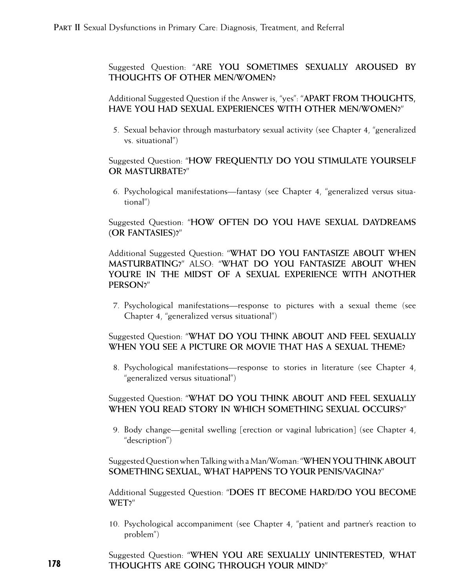### Suggested Question: **"Are you sometimes sexually aroused by thoughts of other men/women?**

Additional Suggested Question if the Answer is, "yes": **"Apart from thoughts, have you had sexual experiences with other men/women?"**

5. Sexual behavior through masturbatory sexual activity (see Chapter 4, "generalized vs. situational")

### Suggested Question: **"How frequently do you stimulate yourself or masturbate?"**

6. Psychological manifestations—fantasy (see Chapter 4, "generalized versus situational")

Suggested Question: **"How often do you have sexual daydreams (or fantasies)?"**

Additional Suggested Question: **"What do you fantasize about when masturbating?"** ALSO: **"What do you fantasize about when you're in the midst of a sexual experience with another person?"**

7. Psychological manifestations—response to pictures with a sexual theme (see Chapter 4, "generalized versus situational")

### Suggested Question: **"What do you think about and feel sexually when you see a picture or movie that has a sexual theme?**

8. Psychological manifestations—response to stories in literature (see Chapter 4, "generalized versus situational")

### Suggested Question: **"What do you think about and feel sexually when you read story in which something sexual occurs?"**

9. Body change—genital swelling [erection or vaginal lubrication] (see Chapter 4, "description")

Suggested QuestionwhenTalkingwith aMan/Woman:**"When you thinkabout something sexual, what happens to your penis/vagina?"**

Additional Suggested Question: **"Does it become hard/do you become wet?"**

10. Psychological accompaniment (see Chapter 4, "patient and partner's reaction to problem")

Suggested Question: **"When you are sexually uninterested, what thoughts are going through your mind?"**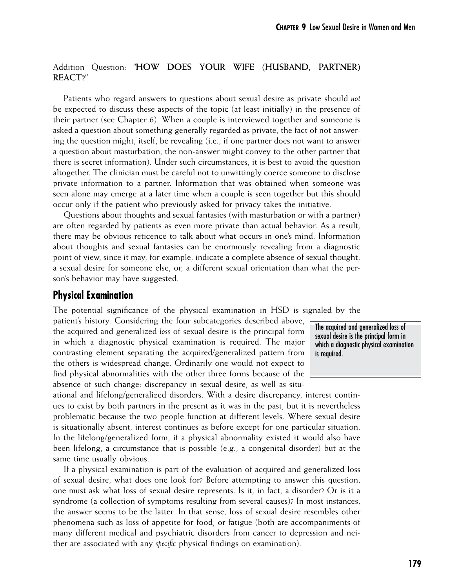### Addition Question: "**How does your wife (husband, partner) react?"**

Patients who regard answers to questions about sexual desire as private should *not* be expected to discuss these aspects of the topic (at least initially) in the presence of their partner (see Chapter 6). When a couple is interviewed together and someone is asked a question about something generally regarded as private, the fact of not answering the question might, itself, be revealing (i.e., if one partner does not want to answer a question about masturbation, the non-answer might convey to the other partner that there is secret information). Under such circumstances, it is best to avoid the question altogether. The clinician must be careful not to unwittingly coerce someone to disclose private information to a partner. Information that was obtained when someone was seen alone may emerge at a later time when a couple is seen together but this should occur only if the patient who previously asked for privacy takes the initiative.

Questions about thoughts and sexual fantasies (with masturbation or with a partner) are often regarded by patients as even more private than actual behavior. As a result, there may be obvious reticence to talk about what occurs in one's mind. Information about thoughts and sexual fantasies can be enormously revealing from a diagnostic point of view, since it may, for example, indicate a complete absence of sexual thought, a sexual desire for someone else, or, a different sexual orientation than what the person's behavior may have suggested.

## **Physical Examination**

The potential significance of the physical examination in HSD is signaled by the

patient's history. Considering the four subcategories described above, the acquired and generalized *loss* of sexual desire is the principal form in which a diagnostic physical examination is required. The major contrasting element separating the acquired/generalized pattern from the others is widespread change. Ordinarily one would not expect to find physical abnormalities with the other three forms because of the absence of such change: discrepancy in sexual desire, as well as situ-

The acquired and generalized loss of sexual desire is the principal form in which a diagnostic physical examination is required.

ational and lifelong/generalized disorders. With a desire discrepancy, interest continues to exist by both partners in the present as it was in the past, but it is nevertheless problematic because the two people function at different levels. Where sexual desire is situationally absent, interest continues as before except for one particular situation. In the lifelong/generalized form, if a physical abnormality existed it would also have been lifelong, a circumstance that is possible (e.g., a congenital disorder) but at the same time usually obvious.

 If a physical examination is part of the evaluation of acquired and generalized loss of sexual desire, what does one look for? Before attempting to answer this question, one must ask what loss of sexual desire represents. Is it, in fact, a disorder? Or is it a syndrome (a collection of symptoms resulting from several causes)? In most instances, the answer seems to be the latter. In that sense, loss of sexual desire resembles other phenomena such as loss of appetite for food, or fatigue (both are accompaniments of many different medical and psychiatric disorders from cancer to depression and neither are associated with any *specific* physical findings on examination).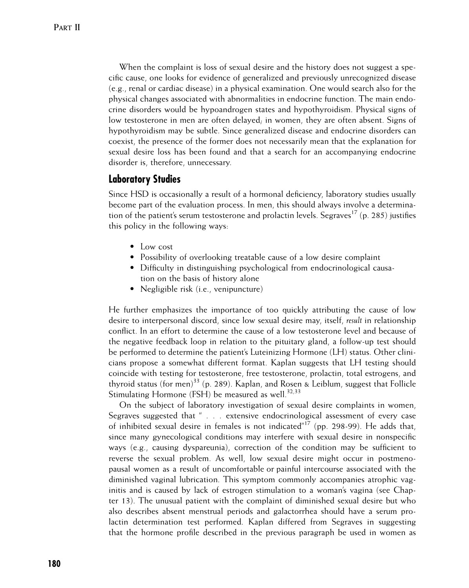When the complaint is loss of sexual desire and the history does not suggest a specific cause, one looks for evidence of generalized and previously unrecognized disease (e.g., renal or cardiac disease) in a physical examination. One would search also for the physical changes associated with abnormalities in endocrine function. The main endocrine disorders would be hypoandrogen states and hypothyroidism. Physical signs of low testosterone in men are often delayed; in women, they are often absent. Signs of hypothyroidism may be subtle. Since generalized disease and endocrine disorders can coexist, the presence of the former does not necessarily mean that the explanation for sexual desire loss has been found and that a search for an accompanying endocrine disorder is, therefore, unnecessary.

## **Laboratory Studies**

Since HSD is occasionally a result of a hormonal deficiency, laboratory studies usually become part of the evaluation process. In men, this should always involve a determination of the patient's serum testosterone and prolactin levels. Segraves<sup>17</sup> (p. 285) justifies this policy in the following ways:

- Low cost
- Possibility of overlooking treatable cause of a low desire complaint
- Difficulty in distinguishing psychological from endocrinological causation on the basis of history alone
- Negligible risk (i.e., venipuncture)

He further emphasizes the importance of too quickly attributing the cause of low desire to interpersonal discord, since low sexual desire may, itself, *result* in relationship conflict. In an effort to determine the cause of a low testosterone level and because of the negative feedback loop in relation to the pituitary gland, a follow-up test should be performed to determine the patient's Luteinizing Hormone (LH) status. Other clinicians propose a somewhat different format. Kaplan suggests that LH testing should coincide with testing for testosterone, free testosterone, prolactin, total estrogens, and thyroid status (for men)<sup>33</sup> (p. 289). Kaplan, and Rosen & Leiblum, suggest that Follicle Stimulating Hormone (FSH) be measured as well. $32,33$ 

 On the subject of laboratory investigation of sexual desire complaints in women, Segraves suggested that " . . . extensive endocrinological assessment of every case of inhibited sexual desire in females is not indicated" $\overline{17}$  (pp. 298-99). He adds that, since many gynecological conditions may interfere with sexual desire in nonspecific ways (e.g., causing dyspareunia), correction of the condition may be sufficient to reverse the sexual problem. As well, low sexual desire might occur in postmenopausal women as a result of uncomfortable or painful intercourse associated with the diminished vaginal lubrication. This symptom commonly accompanies atrophic vaginitis and is caused by lack of estrogen stimulation to a woman's vagina (see Chapter 13). The unusual patient with the complaint of diminished sexual desire but who also describes absent menstrual periods and galactorrhea should have a serum prolactin determination test performed. Kaplan differed from Segraves in suggesting that the hormone profile described in the previous paragraph be used in women as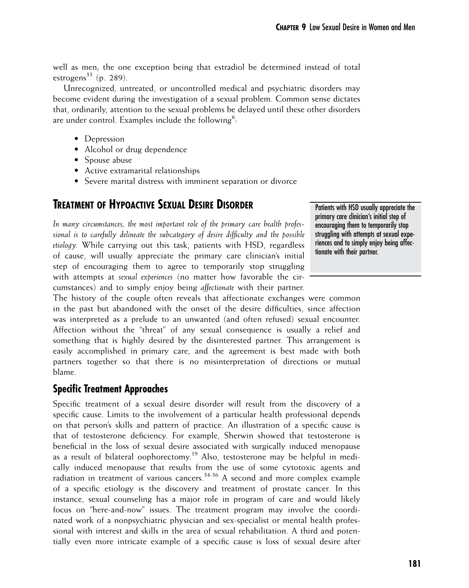well as men; the one exception being that estradiol be determined instead of total estrogens $^{33}$  (p. 289).

 Unrecognized, untreated, or uncontrolled medical and psychiatric disorders may become evident during the investigation of a sexual problem. Common sense dictates that, ordinarily, attention to the sexual problems be delayed until these other disorders are under control. Examples include the following<sup>6</sup>:

- Depression
- Alcohol or drug dependence
- Spouse abuse
- Active extramarital relationships
- Severe marital distress with imminent separation or divorce

## **Treatment of Hypoactive Sexual Desire Disorder**

*In many circumstances, the most important role of the primary care health professional is to carefully delineate the subcategory of desire difficulty and the possible etiology.* While carrying out this task, patients with HSD, regardless of cause, will usually appreciate the primary care clinician's initial step of encouraging them to agree to temporarily stop struggling with attempts at *sexual experiences* (no matter how favorable the circumstances) and to simply enjoy being *affectionate* with their partner.

Patients with HSD usually appreciate the primary care clinician's initial step of encouraging them to temporarily stop struggling with attempts at sexual experiences and to simply enjoy being affectionate with their partner.

The history of the couple often reveals that affectionate exchanges were common in the past but abandoned with the onset of the desire difficulties, since affection was interpreted as a prelude to an unwanted (and often refused) sexual encounter. Affection without the "threat" of any sexual consequence is usually a relief and something that is highly desired by the disinterested partner. This arrangement is easily accomplished in primary care, and the agreement is best made with both partners together so that there is no misinterpretation of directions or mutual blame.

### **Specific Treatment Approaches**

Specific treatment of a sexual desire disorder will result from the discovery of a specific cause. Limits to the involvement of a particular health professional depends on that person's skills and pattern of practice. An illustration of a specific cause is that of testosterone deficiency. For example, Sherwin showed that testosterone is beneficial in the loss of sexual desire associated with surgically induced menopause as a result of bilateral oophorectomy.<sup>19</sup> Also, testosterone may be helpful in medically induced menopause that results from the use of some cytotoxic agents and radiation in treatment of various cancers.<sup>34-36</sup> A second and more complex example of a specific etiology is the discovery and treatment of prostate cancer. In this instance, sexual counseling has a major role in program of care and would likely focus on "here-and-now" issues. The treatment program may involve the coordinated work of a nonpsychiatric physician and sex-specialist or mental health professional with interest and skills in the area of sexual rehabilitation. A third and potentially even more intricate example of a specific cause is loss of sexual desire after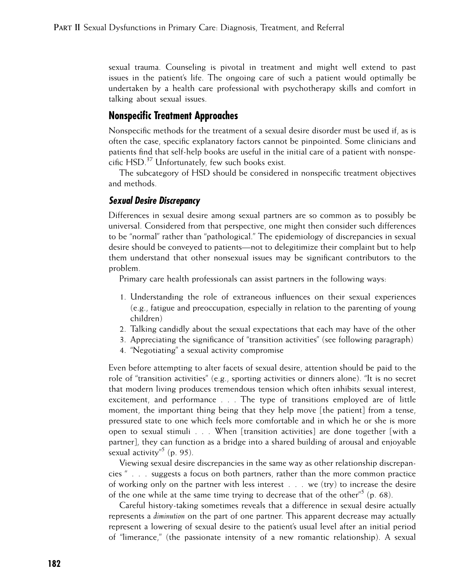sexual trauma. Counseling is pivotal in treatment and might well extend to past issues in the patient's life. The ongoing care of such a patient would optimally be undertaken by a health care professional with psychotherapy skills and comfort in talking about sexual issues.

### **Nonspecific Treatment Approaches**

Nonspecific methods for the treatment of a sexual desire disorder must be used if, as is often the case, specific explanatory factors cannot be pinpointed. Some clinicians and patients find that self-help books are useful in the initial care of a patient with nonspecific HSD.<sup>37</sup> Unfortunately, few such books exist.

 The subcategory of HSD should be considered in nonspecific treatment objectives and methods.

### *Sexual Desire Discrepancy*

Differences in sexual desire among sexual partners are so common as to possibly be universal. Considered from that perspective, one might then consider such differences to be "normal" rather than "pathological." The epidemiology of discrepancies in sexual desire should be conveyed to patients—not to delegitimize their complaint but to help them understand that other nonsexual issues may be significant contributors to the problem.

Primary care health professionals can assist partners in the following ways:

- 1. Understanding the role of extraneous influences on their sexual experiences (e.g., fatigue and preoccupation, especially in relation to the parenting of young children)
- 2. Talking candidly about the sexual expectations that each may have of the other
- 3. Appreciating the significance of "transition activities" (see following paragraph)
- 4. "Negotiating" a sexual activity compromise

Even before attempting to alter facets of sexual desire, attention should be paid to the role of "transition activities" (e.g., sporting activities or dinners alone). "It is no secret that modern living produces tremendous tension which often inhibits sexual interest, excitement, and performance . . . The type of transitions employed are of little moment, the important thing being that they help move [the patient] from a tense, pressured state to one which feels more comfortable and in which he or she is more open to sexual stimuli . . . When [transition activities] are done together [with a partner], they can function as a bridge into a shared building of arousal and enjoyable sexual activity<sup>"5</sup> (p. 95).

Viewing sexual desire discrepancies in the same way as other relationship discrepancies " . . . suggests a focus on both partners, rather than the more common practice of working only on the partner with less interest . . . we (try) to increase the desire of the one while at the same time trying to decrease that of the other<sup>15</sup> (p. 68).

Careful history-taking sometimes reveals that a difference in sexual desire actually represents a *diminution* on the part of one partner. This apparent decrease may actually represent a lowering of sexual desire to the patient's usual level after an initial period of "limerance," (the passionate intensity of a new romantic relationship). A sexual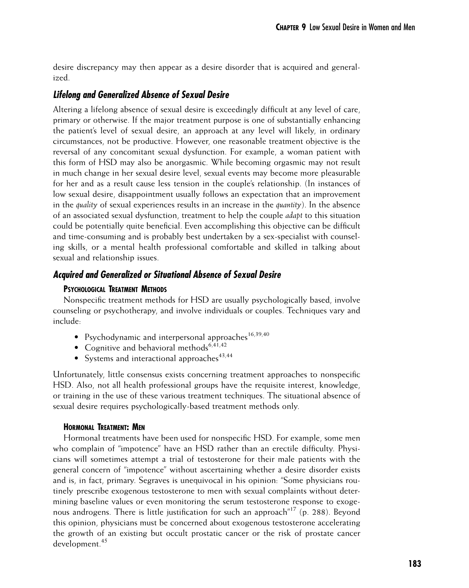desire discrepancy may then appear as a desire disorder that is acquired and generalized.

### *Lifelong and Generalized Absence of Sexual Desire*

Altering a lifelong absence of sexual desire is exceedingly difficult at any level of care, primary or otherwise. If the major treatment purpose is one of substantially enhancing the patient's level of sexual desire, an approach at any level will likely, in ordinary circumstances, not be productive. However, one reasonable treatment objective is the reversal of any concomitant sexual dysfunction. For example, a woman patient with this form of HSD may also be anorgasmic. While becoming orgasmic may not result in much change in her sexual desire level, sexual events may become more pleasurable for her and as a result cause less tension in the couple's relationship. (In instances of low sexual desire, disappointment usually follows an expectation that an improvement in the *quality* of sexual experiences results in an increase in the *quantity*). In the absence of an associated sexual dysfunction, treatment to help the couple *adapt* to this situation could be potentially quite beneficial. Even accomplishing this objective can be difficult and time-consuming and is probably best undertaken by a sex-specialist with counseling skills, or a mental health professional comfortable and skilled in talking about sexual and relationship issues.

### *Acquired and Generalized or Situational Absence of Sexual Desire*

#### **Psychological Treatment Methods**

Nonspecific treatment methods for HSD are usually psychologically based, involve counseling or psychotherapy, and involve individuals or couples. Techniques vary and include:

- Psychodynamic and interpersonal approaches<sup>16,39,40</sup>
- Cognitive and behavioral methods<sup>6,41,42</sup>
- Systems and interactional approaches $43,44$

Unfortunately, little consensus exists concerning treatment approaches to nonspecific HSD. Also, not all health professional groups have the requisite interest, knowledge, or training in the use of these various treatment techniques. The situational absence of sexual desire requires psychologically-based treatment methods only.

#### **Hormonal Treatment: Men**

Hormonal treatments have been used for nonspecific HSD. For example, some men who complain of "impotence" have an HSD rather than an erectile difficulty. Physicians will sometimes attempt a trial of testosterone for their male patients with the general concern of "impotence" without ascertaining whether a desire disorder exists and is, in fact, primary. Segraves is unequivocal in his opinion: "Some physicians routinely prescribe exogenous testosterone to men with sexual complaints without determining baseline values or even monitoring the serum testosterone response to exogenous androgens. There is little justification for such an approach"<sup>17</sup> (p. 288). Beyond this opinion, physicians must be concerned about exogenous testosterone accelerating the growth of an existing but occult prostatic cancer or the risk of prostate cancer development.<sup>45</sup>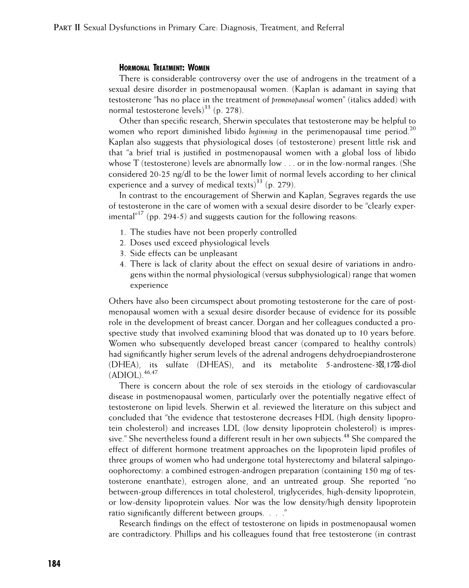#### **Hormonal Treatment: Women**

There is considerable controversy over the use of androgens in the treatment of a sexual desire disorder in postmenopausal women. (Kaplan is adamant in saying that testosterone "has no place in the treatment of *premenopausal* women" (italics added) with normal testosterone levels) $^{33}$  (p. 278).

Other than specific research, Sherwin speculates that testosterone may be helpful to women who report diminished libido *beginning* in the perimenopausal time period.<sup>20</sup> Kaplan also suggests that physiological doses (of testosterone) present little risk and that "a brief trial is justified in postmenopausal women with a global loss of libido whose T (testosterone) levels are abnormally low . . . or in the low-normal ranges. (She considered 20-25 ng/dl to be the lower limit of normal levels according to her clinical experience and a survey of medical texts)<sup>33</sup> (p. 279).

 In contrast to the encouragement of Sherwin and Kaplan, Segraves regards the use of testosterone in the care of women with a sexual desire disorder to be "clearly experimental"<sup>17</sup> (pp. 294-5) and suggests caution for the following reasons:

- 1. The studies have not been properly controlled
- 2. Doses used exceed physiological levels
- 3. Side effects can be unpleasant
- 4. There is lack of clarity about the effect on sexual desire of variations in androgens within the normal physiological (versus subphysiological) range that women experience

Others have also been circumspect about promoting testosterone for the care of postmenopausal women with a sexual desire disorder because of evidence for its possible role in the development of breast cancer. Dorgan and her colleagues conducted a prospective study that involved examining blood that was donated up to 10 years before. Women who subsequently developed breast cancer (compared to healthy controls) had significantly higher serum levels of the adrenal androgens dehydroepiandrosterone (DHEA), its sulfate (DHEAS), and its metabolite 5-androstene-3b,17b-diol  $(ADIOL).$ <sup>46,47</sup>

There is concern about the role of sex steroids in the etiology of cardiovascular disease in postmenopausal women, particularly over the potentially negative effect of testosterone on lipid levels. Sherwin et al. reviewed the literature on this subject and concluded that "the evidence that testosterone decreases HDL (high density lipoprotein cholesterol) and increases LDL (low density lipoprotein cholesterol) is impressive." She nevertheless found a different result in her own subjects.<sup>48</sup> She compared the effect of different hormone treatment approaches on the lipoprotein lipid profiles of three groups of women who had undergone total hysterectomy and bilateral salpingooophorectomy: a combined estrogen-androgen preparation (containing 150 mg of testosterone enanthate), estrogen alone, and an untreated group. She reported "no between-group differences in total cholesterol, triglycerides, high-density lipoprotein, or low-density lipoprotein values. Nor was the low density/high density lipoprotein ratio significantly different between groups. . . ."

Research findings on the effect of testosterone on lipids in postmenopausal women are contradictory. Phillips and his colleagues found that free testosterone (in contrast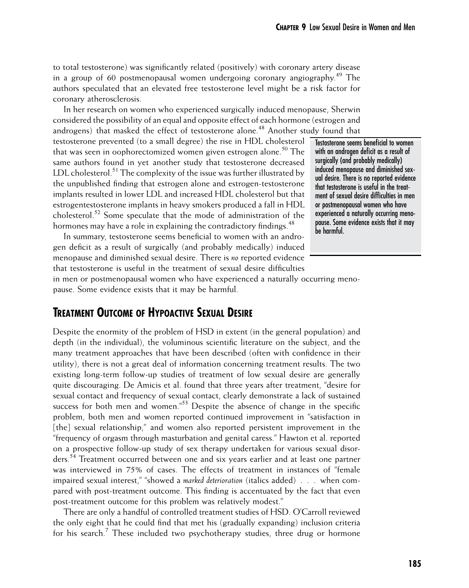to total testosterone) was significantly related (positively) with coronary artery disease in a group of 60 postmenopausal women undergoing coronary angiography.<sup>49</sup> The authors speculated that an elevated free testosterone level might be a risk factor for coronary atherosclerosis.

 In her research on women who experienced surgically induced menopause, Sherwin considered the possibility of an equal and opposite effect of each hormone (estrogen and androgens) that masked the effect of testosterone alone.<sup>48</sup> Another study found that

testosterone prevented (to a small degree) the rise in HDL cholesterol that was seen in oophorectomized women given estrogen alone.<sup>50</sup> The same authors found in yet another study that testosterone decreased LDL cholesterol.<sup>51</sup> The complexity of the issue was further illustrated by the unpublished finding that estrogen alone and estrogen-testosterone implants resulted in lower LDL and increased HDL cholesterol but that estrogentestosterone implants in heavy smokers produced a fall in HDL cholesterol.<sup>52</sup> Some speculate that the mode of administration of the hormones may have a role in explaining the contradictory findings.<sup>48</sup>

In summary, testosterone seems beneficial to women with an androgen deficit as a result of surgically (and probably medically) induced menopause and diminished sexual desire. There is *no* reported evidence that testosterone is useful in the treatment of sexual desire difficulties Testosterone seems beneficial to women with an androgen deficit as a result of surgically (and probably medically) induced menopause and diminished sexual desire. There is no reported evidence that testosterone is useful in the treatment of sexual desire difficulties in men or postmenopausal women who have experienced a naturally occurring menopause. Some evidence exists that it may be harmful.

in men or postmenopausal women who have experienced a naturally occurring menopause. Some evidence exists that it may be harmful.

## **Treatment Outcome of Hypoactive Sexual Desire**

Despite the enormity of the problem of HSD in extent (in the general population) and depth (in the individual), the voluminous scientific literature on the subject, and the many treatment approaches that have been described (often with confidence in their utility), there is not a great deal of information concerning treatment results. The two existing long-term follow-up studies of treatment of low sexual desire are generally quite discouraging. De Amicis et al. found that three years after treatment, "desire for sexual contact and frequency of sexual contact, clearly demonstrate a lack of sustained success for both men and women.<sup> $153$ </sup> Despite the absence of change in the specific problem, both men and women reported continued improvement in "satisfaction in [the] sexual relationship," and women also reported persistent improvement in the "frequency of orgasm through masturbation and genital caress." Hawton et al. reported on a prospective follow-up study of sex therapy undertaken for various sexual disorders.<sup>54</sup> Treatment occurred between one and six years earlier and at least one partner was interviewed in 75% of cases. The effects of treatment in instances of "female impaired sexual interest," "showed a *marked deterioration* (italics added) . . . when compared with post-treatment outcome. This finding is accentuated by the fact that even post-treatment outcome for this problem was relatively modest."

There are only a handful of controlled treatment studies of HSD. O'Carroll reviewed the only eight that he could find that met his (gradually expanding) inclusion criteria for his search.<sup>7</sup> These included two psychotherapy studies, three drug or hormone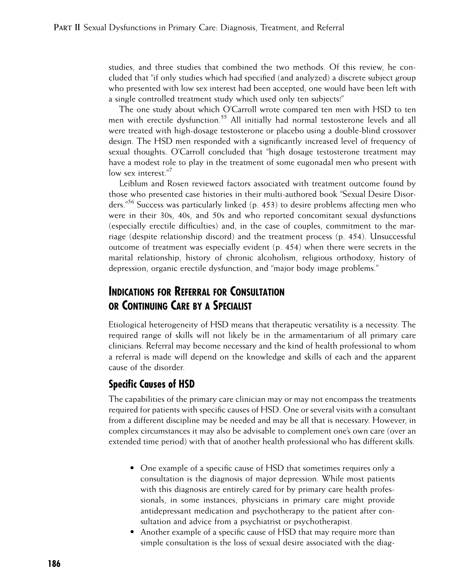studies, and three studies that combined the two methods. Of this review, he concluded that "if only studies which had specified (and analyzed) a discrete subject group who presented with low sex interest had been accepted, one would have been left with a single controlled treatment study which used only ten subjects!"

The one study about which O'Carroll wrote compared ten men with HSD to ten men with erectile dysfunction.<sup>55</sup> All initially had normal testosterone levels and all were treated with high-dosage testosterone or placebo using a double-blind crossover design. The HSD men responded with a significantly increased level of frequency of sexual thoughts. O'Carroll concluded that "high dosage testosterone treatment may have a modest role to play in the treatment of some eugonadal men who present with low sex interest."7

Leiblum and Rosen reviewed factors associated with treatment outcome found by those who presented case histories in their multi-authored book "Sexual Desire Disorders."56 Success was particularly linked (p. 453) to desire problems affecting men who were in their 30s, 40s, and 50s and who reported concomitant sexual dysfunctions (especially erectile difficulties) and, in the case of couples, commitment to the marriage (despite relationship discord) and the treatment process (p. 454). Unsuccessful outcome of treatment was especially evident (p. 454) when there were secrets in the marital relationship, history of chronic alcoholism, religious orthodoxy, history of depression, organic erectile dysfunction, and "major body image problems."

## **Indications for Referral for Consultation or Continuing Care by a Specialist**

Etiological heterogeneity of HSD means that therapeutic versatility is a necessity. The required range of skills will not likely be in the armamentarium of all primary care clinicians. Referral may become necessary and the kind of health professional to whom a referral is made will depend on the knowledge and skills of each and the apparent cause of the disorder.

## **Specific Causes of HSD**

The capabilities of the primary care clinician may or may not encompass the treatments required for patients with specific causes of HSD. One or several visits with a consultant from a different discipline may be needed and may be all that is necessary. However, in complex circumstances it may also be advisable to complement one's own care (over an extended time period) with that of another health professional who has different skills.

- One example of a specific cause of HSD that sometimes requires only a consultation is the diagnosis of major depression. While most patients with this diagnosis are entirely cared for by primary care health professionals, in some instances, physicians in primary care might provide antidepressant medication and psychotherapy to the patient after consultation and advice from a psychiatrist or psychotherapist.
- Another example of a specific cause of HSD that may require more than simple consultation is the loss of sexual desire associated with the diag-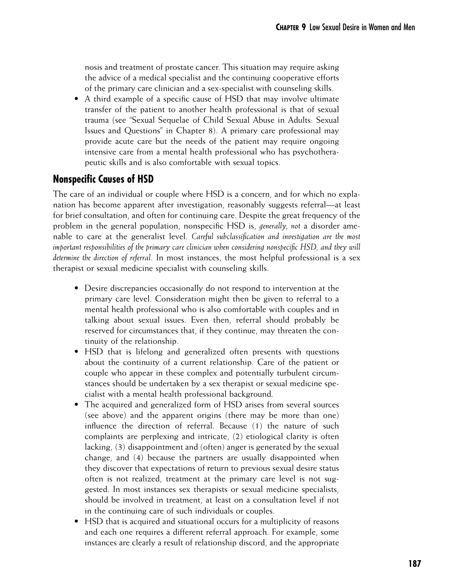nosis and treatment of prostate cancer. This situation may require asking the advice of a medical specialist and the continuing cooperative efforts of the primary care clinician and a sex-specialist with counseling skills.

• A third example of a specific cause of HSD that may involve ultimate transfer of the patient to another health professional is that of sexual trauma (see "Sexual Sequelae of Child Sexual Abuse in Adults: Sexual Issues and Questions" in Chapter 8). A primary care professional may provide acute care but the needs of the patient may require ongoing intensive care from a mental health professional who has psychotherapeutic skills and is also comfortable with sexual topics.

## **Nonspecific Causes of HSD**

The care of an individual or couple where HSD is a concern, and for which no explanation has become apparent after investigation, reasonably suggests referral—at least for brief consultation, and often for continuing care. Despite the great frequency of the problem in the general population, nonspecific HSD is, *generally, not* a disorder amenable to care at the generalist level. *Careful subclassification and investigation are the most important responsibilities of the primary care clinician when considering nonspecific HSD, and they will determine the direction of referral*. In most instances, the most helpful professional is a sex therapist or sexual medicine specialist with counseling skills.

- Desire discrepancies occasionally do not respond to intervention at the primary care level. Consideration might then be given to referral to a mental health professional who is also comfortable with couples and in talking about sexual issues. Even then, referral should probably be reserved for circumstances that, if they continue, may threaten the continuity of the relationship.
- HSD that is lifelong and generalized often presents with questions about the continuity of a current relationship. Care of the patient or couple who appear in these complex and potentially turbulent circumstances should be undertaken by a sex therapist or sexual medicine specialist with a mental health professional background.
- The acquired and generalized form of HSD arises from several sources (see above) and the apparent origins (there may be more than one) influence the direction of referral. Because (1) the nature of such complaints are perplexing and intricate, (2) etiological clarity is often lacking, (3) disappointment and (often) anger is generated by the sexual change, and (4) because the partners are usually disappointed when they discover that expectations of return to previous sexual desire status often is not realized, treatment at the primary care level is not suggested. In most instances sex therapists or sexual medicine specialists, should be involved in treatment, at least on a consultation level if not in the continuing care of such individuals or couples.
- HSD that is acquired and situational occurs for a multiplicity of reasons and each one requires a different referral approach. For example, some instances are clearly a result of relationship discord, and the appropriate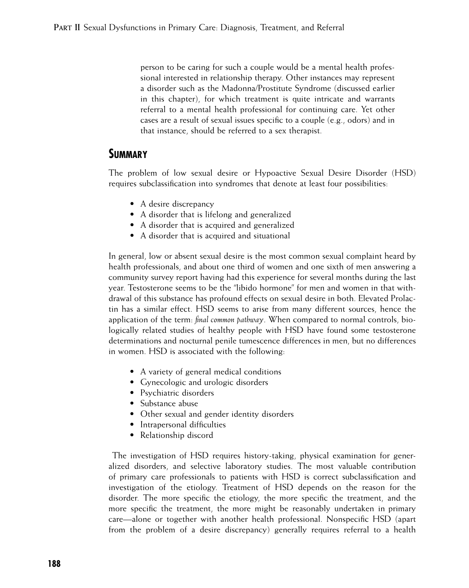person to be caring for such a couple would be a mental health professional interested in relationship therapy. Other instances may represent a disorder such as the Madonna/Prostitute Syndrome (discussed earlier in this chapter), for which treatment is quite intricate and warrants referral to a mental health professional for continuing care. Yet other cases are a result of sexual issues specific to a couple (e.g., odors) and in that instance, should be referred to a sex therapist.

## **Summary**

The problem of low sexual desire or Hypoactive Sexual Desire Disorder (HSD) requires subclassification into syndromes that denote at least four possibilities:

- A desire discrepancy
- A disorder that is lifelong and generalized
- A disorder that is acquired and generalized
- • A disorder that is acquired and situational

In general, low or absent sexual desire is the most common sexual complaint heard by health professionals, and about one third of women and one sixth of men answering a community survey report having had this experience for several months during the last year. Testosterone seems to be the "libido hormone" for men and women in that withdrawal of this substance has profound effects on sexual desire in both. Elevated Prolactin has a similar effect. HSD seems to arise from many different sources, hence the application of the term: *final common pathway*. When compared to normal controls, biologically related studies of healthy people with HSD have found some testosterone determinations and nocturnal penile tumescence differences in men, but no differences in women. HSD is associated with the following:

- A variety of general medical conditions
- Gynecologic and urologic disorders
- Psychiatric disorders
- Substance abuse
- Other sexual and gender identity disorders
- • Intrapersonal difficulties
- • Relationship discord

 The investigation of HSD requires history-taking, physical examination for generalized disorders, and selective laboratory studies. The most valuable contribution of primary care professionals to patients with HSD is correct subclassification and investigation of the etiology. Treatment of HSD depends on the reason for the disorder. The more specific the etiology, the more specific the treatment, and the more specific the treatment, the more might be reasonably undertaken in primary care—alone or together with another health professional. Nonspecific HSD (apart from the problem of a desire discrepancy) generally requires referral to a health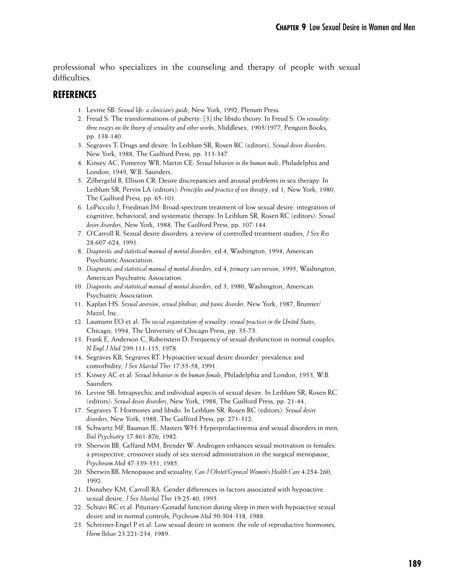professional who specializes in the counseling and therapy of people with sexual difficulties.

### **REFERENCES**

- 1. Levine SB: *Sexual life*: *a clinician*'*s guide*, New York, 1992, Plenum Press.
- 2. Freud S: The transformations of puberty: [3] the libido theory. In Freud S: *On sexuality*: *three essays on the theory of sexuality and other works*, Middlesex, 1905/1977, Penguin Books, pp. 138-140.
- 3. Segraves T: Drugs and desire. In Leiblum SR, Rosen RC (editors), *Sexual desire disorders*, New York, 1988, The Guilford Press, pp. 313-347.
- 4. Kinsey AC, Pomeroy WB, Martin CE: *Sexual behavior in the human male*, Philadelphia and London, 1949, W.B. Saunders.
- 5. Zilbergeld B, Ellison CR: Desire discrepancies and arousal problems in sex therapy. In Leiblum SR, Pervin LA (editors): *Principles and practice of sex therapy*, ed 1, New York, 1980, The Guilford Press, pp. 65-101.
- 6. LoPiccolo J, Friedman JM: Broad-spectrum treatment of low sexual desire: integration of cognitive, behavioral, and systematic therapy. In Leiblum SR, Rosen RC (editors): *Sexual desire disorders*, New York, 1988, The Guilford Press, pp. 107-144.
- 7. O'Carroll R: Sexual desire disorders: a review of controlled treatment studies, *J Sex Res* 28:607-624, 1991.
- 8. *Diagnostic and statistical manual of mental disorders*, ed 4, Washington, 1994, American Psychiatric Association.
- 9. *Diagnostic and statistical manual of mental disorders*, ed 4, *primary care version*, 1995, Washington, American Psychiatric Association.
- 10. *Diagnostic and statistical manual of mental disorders*, ed 3, 1980, Washington, American Psychiatric Association.
- 11. Kaplan HS: *Sexual aversion*, *sexual phobias*, *and panic disorder*, New York, 1987, Brunner/ Mazel, Inc.
- 12. Laumann EO et al: *The social organization of sexuality*: *sexual practices in the United States*, Chicago, 1994, The University of Chicago Press, pp. 35-73.
- 13. Frank E, Anderson C, Rubenstein D: Frequency of sexual dysfunction in normal couples, *N Engl J Med* 299:111-115, 1978.
- 14. Segraves KB, Segraves RT: Hypoactive sexual desire disorder: prevalence and comorbidity, *J Sex Marital Ther* 17:55-58, 1991.
- 15. Kinsey AC et al: *Sexual behavior in the human female*, Philadelphia and London, 1953, W.B. Saunders.
- 16. Levine SB: Intrapsychic and individual aspects of sexual desire. In Leiblum SR, Rosen RC (editors): *Sexual desire disorders*, New York, 1988, The Guilford Press, pp. 21-44.
- 17. Segraves T: Hormones and libido. In Leiblum SR, Rosen RC (editors): *Sexual desire disorders*, New York, 1988, The Guilford Press, pp. 271-312.
- 18. Schwartz MF, Bauman JE, Masters WH: Hyperprolactinemia and sexual disorders in men, *Biol Psychiatry* 17:861-876, 1982.
- 19. Sherwin BB, Gelfand MM, Brender W: Androgen enhances sexual motivation in females: a prospective, crossover study of sex steroid administration in the surgical menopause, *Psychosom Med* 47:339-351, 1985.
- 20. Sherwin BB: Menopause and sexuality, *Can J Obstet*/*Gynecol Women*'*s Health Care* 4:254-260, 1992.
- 21. Donahey KM, Carroll RA: Gender differences in factors associated with hypoactive sexual desire, *J Sex Marital Ther* 19:25-40, 1993.
- 22. Schiavi RC et al: Pituitary-Gonadal function during sleep in men with hypoactive sexual desire and in normal controls, *Psychosom Med* 50:304-318, 1988.
- 23. Schreiner-Engel P et al: Low sexual desire in women: the role of reproductive hormones, *Horm Behav* 23:221-234, 1989.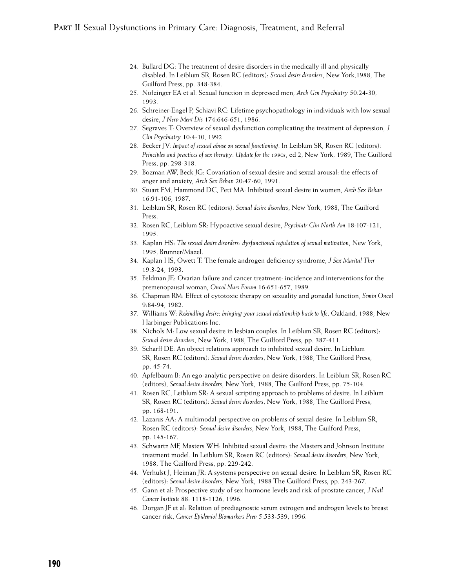- 24. Bullard DG: The treatment of desire disorders in the medically ill and physically disabled. In Leiblum SR, Rosen RC (editors): *Sexual desire disorders*, New York,1988, The Guilford Press, pp. 348-384.
- 25. Nofzinger EA et al: Sexual function in depressed men, *Arch Gen Psychiatry* 50:24-30, 1993.
- 26. Schreiner-Engel P, Schiavi RC: Lifetime psychopathology in individuals with low sexual desire, *J Nerv Ment Dis* 174:646-651, 1986.
- 27. Segraves T: Overview of sexual dysfunction complicating the treatment of depression, *J Clin Psychiatry* 10:4-10, 1992.
- 28. Becker JV: *Impact of sexual abuse on sexual functioning*. In Leiblum SR, Rosen RC (editors): *Principles and practices of sex therapy*: *Update for the 1990s*, ed 2, New York, 1989, The Guilford Press, pp. 298-318.
- 29. Bozman AW, Beck JG: Covariation of sexual desire and sexual arousal: the effects of anger and anxiety, *Arch Sex Behav* 20:47-60, 1991.
- 30. Stuart FM, Hammond DC, Pett MA: Inhibited sexual desire in women, *Arch Sex Behav* 16:91-106, 1987.
- 31. Leiblum SR, Rosen RC (editors): *Sexual desire disorders*, New York, 1988, The Guilford Press.
- 32. Rosen RC, Leiblum SR: Hypoactive sexual desire, *Psychiatr Clin North Am* 18:107-121, 1995.
- 33. Kaplan HS: *The sexual desire disorders*: *dysfunctional regulation of sexual motivation*, New York, 1995, Brunner/Mazel.
- 34. Kaplan HS, Owett T: The female androgen deficiency syndrome, *J Sex Marital Ther* 19:3-24, 1993.
- 35. Feldman JE: Ovarian failure and cancer treatment: incidence and interventions for the premenopausal woman, *Oncol Nurs Forum* 16:651-657, 1989.
- 36. Chapman RM: Effect of cytotoxic therapy on sexuality and gonadal function, *Semin Oncol* 9:84-94, 1982.
- 37. Williams W: *Rekindling desire*: *bringing your sexual relationship back to life*, Oakland, 1988, New Harbinger Publications Inc.
- 38. Nichols M: Low sexual desire in lesbian couples. In Leiblum SR, Rosen RC (editors): *Sexual desire disorders*, New York, 1988, The Guilford Press, pp. 387-411.
- 39. Scharff DE: An object relations approach to inhibited sexual desire. In Lieblum SR, Rosen RC (editors): *Sexual desire disorders*, New York, 1988, The Guilford Press, pp. 45-74.
- 40. Apfelbaum B: An ego-analytic perspective on desire disorders. In Leiblum SR, Rosen RC (editors), *Sexual desire disorders*, New York, 1988, The Guilford Press, pp. 75-104.
- 41. Rosen RC, Leiblum SR: A sexual scripting approach to problems of desire. In Leiblum SR, Rosen RC (editors): *Sexual desire disorders*, New York, 1988, The Guilford Press, pp. 168-191.
- 42. Lazarus AA: A multimodal perspective on problems of sexual desire. In Leiblum SR, Rosen RC (editors): *Sexual desire disorders*, New York, 1988, The Guilford Press, pp. 145-167.
- 43. Schwartz MF, Masters WH: Inhibited sexual desire: the Masters and Johnson Institute treatment model. In Leiblum SR, Rosen RC (editors): *Sexual desire disorders*, New York, 1988, The Guilford Press, pp. 229-242.
- 44. Verhulst J, Heiman JR: A systems perspective on sexual desire. In Leiblum SR, Rosen RC (editors): *Sexual desire disorders*, New York, 1988 The Guilford Press, pp. 243-267.
- 45. Gann et al: Prospective study of sex hormone levels and risk of prostate cancer, *J Natl Cancer Institute* 88: 1118-1126, 1996.
- 46. Dorgan JF et al: Relation of prediagnostic serum estrogen and androgen levels to breast cancer risk, *Cancer Epidemiol Biomarkers Prev* 5:533-539, 1996.